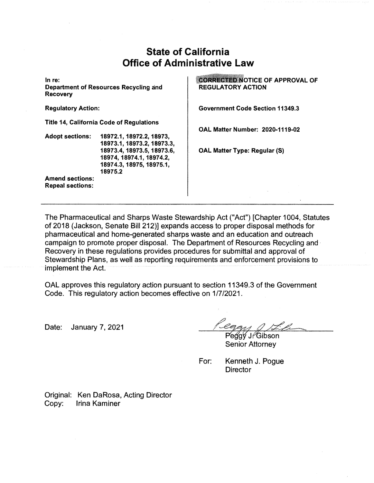## **State of California Office of Administrative Law**

**In re: Department of Resources Recycling and Recovery** 

**Regulatory Action:** 

**Title 14, California Code of Regulations** 

**Adopt sections: 18972.1, 18972.2, 18973, 18973.1, 18973.2, 18973.3, 18973.4, 18973.5, 18973.6, 18974, 18974.1, 18974.2, 18974.3, 18975, 18975.1, 18975.2** 

**Amend sections: Repeal sections:** 

**CORRECTED NOTICE OF APPROVAL OF REGULATORY ACTION** 

**Government Code Section 11349.3** 

**OAL Matter Number: 2020-1119-02** 

**OAL Matter Type: Regular (S)** 

The Pharmaceutical and Sharps Waste Stewardship Act ("Act") [Chapter 1004, Statutes of 2018 (Jackson, Senate Bill 212)] expands access to proper disposal methods for pharmaceutical and home-generated sharps waste and an education and outreach campaign to promote proper disposal. The Department of Resources Recycling and · Recovery in these regulations provides procedures for submittal and approval of Stewardship Plans, as well as reporting requirements and enforcement provisions to implement the Act.

OAL approves this regulatory action pursuant to section 11349.3 of the Government Code. This regulatory action becomes effective on 1/7/2021.

Date: January 7, 2021

Peggy J. Gibson **Senior Attorney** 

For: Kenneth J. Pogue **Director** 

Original: Ken DaRosa, Acting Director Copy: Irina Kaminer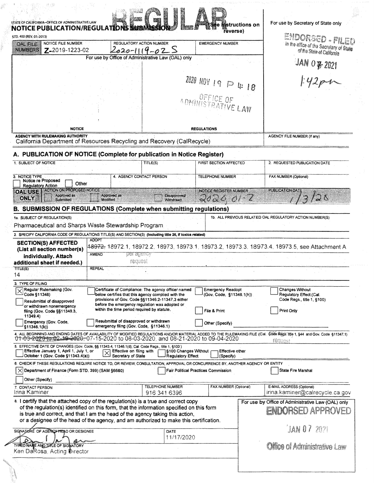| STD. 400 (REV. 01-2013)<br>NOTICE FILE NUMBER<br><b>OAL FILE</b>                                                                                                                                                                                                                                                                                                                                              |                                                                                                        | REGULATORY ACTION NUMBER     |                                         | <b>EMERGENCY NUMBER</b>             | ENDORSED - PILED                                                                                                                                                                                                                             |
|---------------------------------------------------------------------------------------------------------------------------------------------------------------------------------------------------------------------------------------------------------------------------------------------------------------------------------------------------------------------------------------------------------------|--------------------------------------------------------------------------------------------------------|------------------------------|-----------------------------------------|-------------------------------------|----------------------------------------------------------------------------------------------------------------------------------------------------------------------------------------------------------------------------------------------|
| <b>NUMBERS</b><br>Z-2019-1223-02                                                                                                                                                                                                                                                                                                                                                                              | $020 - 11$                                                                                             |                              |                                         |                                     | In the office of the Secretary of State<br>of the State of California                                                                                                                                                                        |
|                                                                                                                                                                                                                                                                                                                                                                                                               | For use by Office of Administrative Law (OAL) only                                                     |                              |                                         |                                     |                                                                                                                                                                                                                                              |
|                                                                                                                                                                                                                                                                                                                                                                                                               |                                                                                                        |                              |                                         |                                     | $3AN OZ$ 2021                                                                                                                                                                                                                                |
|                                                                                                                                                                                                                                                                                                                                                                                                               |                                                                                                        |                              |                                         | 2020 NOV 19 $\wp$ 4: 18             |                                                                                                                                                                                                                                              |
|                                                                                                                                                                                                                                                                                                                                                                                                               |                                                                                                        |                              |                                         |                                     |                                                                                                                                                                                                                                              |
|                                                                                                                                                                                                                                                                                                                                                                                                               |                                                                                                        |                              |                                         | ADMINISTRATIVE LAW                  |                                                                                                                                                                                                                                              |
|                                                                                                                                                                                                                                                                                                                                                                                                               |                                                                                                        |                              |                                         |                                     |                                                                                                                                                                                                                                              |
| <b>NOTICE</b>                                                                                                                                                                                                                                                                                                                                                                                                 |                                                                                                        |                              |                                         | <b>REGULATIONS</b>                  |                                                                                                                                                                                                                                              |
| <b>AGENCY WITH RULEMAKING AUTHORITY</b><br>California Department of Resources Recycling and Recovery (CalRecycle)                                                                                                                                                                                                                                                                                             |                                                                                                        |                              |                                         |                                     | AGENCY FILE NUMBER (If any)                                                                                                                                                                                                                  |
| A. PUBLICATION OF NOTICE (Complete for publication in Notice Register)                                                                                                                                                                                                                                                                                                                                        |                                                                                                        |                              |                                         |                                     |                                                                                                                                                                                                                                              |
| 1. SUBJECT OF NOTICE                                                                                                                                                                                                                                                                                                                                                                                          |                                                                                                        | TITLE(S)                     |                                         | FIRST SECTION AFFECTED              | 2. REQUESTED PUBLICATION DATE                                                                                                                                                                                                                |
| 3. NOTICE TYPE<br>Notice re Proposed                                                                                                                                                                                                                                                                                                                                                                          |                                                                                                        | 4. AGENCY CONTACT PERSON     |                                         | TELEPHONE NUMBER                    | FAX NUMBER (Optional)                                                                                                                                                                                                                        |
| Other<br><b>Regulatory Action</b><br><b>ACTION ON PROPOSED NOTICE</b><br><b>OAL USE</b>                                                                                                                                                                                                                                                                                                                       |                                                                                                        |                              |                                         | <b>NOTICE REGISTER NUMBER</b>       | PUBLICATION DATE                                                                                                                                                                                                                             |
| Approved as<br>ONLY<br>Submitted                                                                                                                                                                                                                                                                                                                                                                              | Approved as<br>Modified                                                                                |                              | <b>Disapproved/</b><br>Withdrawn        |                                     | $\mathbb{Z}^N$                                                                                                                                                                                                                               |
|                                                                                                                                                                                                                                                                                                                                                                                                               |                                                                                                        |                              |                                         |                                     |                                                                                                                                                                                                                                              |
|                                                                                                                                                                                                                                                                                                                                                                                                               |                                                                                                        |                              |                                         |                                     |                                                                                                                                                                                                                                              |
|                                                                                                                                                                                                                                                                                                                                                                                                               |                                                                                                        |                              |                                         |                                     | 1b. ALL PREVIOUS RELATED OAL REGULATORY ACTION NUMBER(S)                                                                                                                                                                                     |
|                                                                                                                                                                                                                                                                                                                                                                                                               |                                                                                                        |                              |                                         |                                     |                                                                                                                                                                                                                                              |
| B. SUBMISSION OF REGULATIONS (Complete when submitting regulations)<br>1a. SUBJECT OF REGULATION(S)<br>Pharmaceutical and Sharps Waste Stewardship Program<br>2. SPECIFY CALIFORNIA CODE OF REGULATIONS TITLE(S) AND SECTION(S) (including title 26, if toxics related)<br><b>SECTION(S) AFFECTED</b>                                                                                                         | <b>ADOPT</b>                                                                                           |                              |                                         |                                     |                                                                                                                                                                                                                                              |
|                                                                                                                                                                                                                                                                                                                                                                                                               |                                                                                                        |                              |                                         |                                     | 148972, 18972.1, 18972.2, 18973, 18973.1, 18973.2, 18973.3, 18973.4, 18973.5, see Attachment A                                                                                                                                               |
| <b>Individually. Attach</b>                                                                                                                                                                                                                                                                                                                                                                                   | <b>AMEND</b>                                                                                           | <u>ber adency</u><br>request |                                         |                                     |                                                                                                                                                                                                                                              |
|                                                                                                                                                                                                                                                                                                                                                                                                               | <b>REPEAL</b>                                                                                          |                              |                                         |                                     |                                                                                                                                                                                                                                              |
|                                                                                                                                                                                                                                                                                                                                                                                                               |                                                                                                        |                              |                                         |                                     |                                                                                                                                                                                                                                              |
| Regular Rulemaking (Gov.                                                                                                                                                                                                                                                                                                                                                                                      | Certificate of Compliance: The agency officer named                                                    |                              |                                         | <b>Emergency Readopt</b>            | Changes Without                                                                                                                                                                                                                              |
| Code §11346)<br>Resubmittal of disapproved                                                                                                                                                                                                                                                                                                                                                                    | below certifies that this agency complied with the<br>provisions of Gov. Code §§11346.2-11347.3 either |                              |                                         | (Gov. Code, §11346.1(h))            | Regulatory Effect (Cal.<br>Code Regs., title 1, §100)                                                                                                                                                                                        |
| or withdrawn nonemergency<br>filing (Gov. Code §§11349.3,                                                                                                                                                                                                                                                                                                                                                     | before the emergency regulation was adopted or<br>within the time period required by statute.          |                              |                                         | File & Print                        | Print Only                                                                                                                                                                                                                                   |
| 11349.4)                                                                                                                                                                                                                                                                                                                                                                                                      | Resubmittal of disapproved or withdrawn                                                                |                              |                                         |                                     |                                                                                                                                                                                                                                              |
| Emergency (Gov. Code,<br>\$11346.1(b)                                                                                                                                                                                                                                                                                                                                                                         | emergency filing (Gov. Code, §11346.1)                                                                 |                              |                                         | Other (Specify)                     |                                                                                                                                                                                                                                              |
|                                                                                                                                                                                                                                                                                                                                                                                                               |                                                                                                        |                              |                                         |                                     | 4. ALL BEGINNING AND ENDING DATES OF AVAILABILITY OF MODIFIED REGULATIONS AND/OR MATERIAL ADDED TO THE RULEMAKING FILE (Cal. 6686 Regs: 1997, 1944 and Gov. Code \$11347.1)<br>01-03-2020 to 02.19-2020-07-15-2020 to 08-03-2020,<br>feuuest |
| Effective January 1, April 1, July 1, or                                                                                                                                                                                                                                                                                                                                                                      | $\overline{\times}$                                                                                    | Effective on filing with     | <b>1§100 Changes Without</b>            | Effective other                     |                                                                                                                                                                                                                                              |
| October 1 (Gov. Code §11343.4(a))                                                                                                                                                                                                                                                                                                                                                                             | Secretary of State                                                                                     |                              | <b>Regulatory Effect</b>                | (Specify)                           |                                                                                                                                                                                                                                              |
| (List all section number(s)<br>additional sheet if needed.)<br><b>TITLE(S)</b><br>14<br>3. TYPE OF FILING<br>5. EFFECTIVE DATE OF CHANGES (Gov. Code, §§ 11343.4, 11346.1(d); Cal. Code Regs., title 1, §100)<br>6. CHECK IF THESE REGULATIONS REQUIRE NOTICE TO, OR REVIEW, CONSULTATION, APPROVAL OR CONCURRENCE BY, ANOTHER AGENCY OR ENTITY<br>$\times$ Department of Finance (Form STD, 399) (SAM §6660) |                                                                                                        |                              |                                         | Fair Political Practices Commission | State Fire Marshal                                                                                                                                                                                                                           |
| Other (Specify)                                                                                                                                                                                                                                                                                                                                                                                               |                                                                                                        |                              |                                         |                                     |                                                                                                                                                                                                                                              |
| 7. CONTACT PERSON<br>Irina Kaminer                                                                                                                                                                                                                                                                                                                                                                            |                                                                                                        |                              | <b>TELEPHONE NUMBER</b><br>916 341 6396 | FAX NUMBER (Optional)               | E-MAIL ADDRESS (Optional)<br>irina.kaminer@calrecycle.ca.gov                                                                                                                                                                                 |
|                                                                                                                                                                                                                                                                                                                                                                                                               |                                                                                                        |                              |                                         |                                     | For use by Office of Administrative Law (OAL) only                                                                                                                                                                                           |
| of the regulation(s) identified on this form, that the information specified on this form                                                                                                                                                                                                                                                                                                                     |                                                                                                        |                              |                                         |                                     | ERARGED APPROVED                                                                                                                                                                                                                             |
| is true and correct, and that I am the head of the agency taking this action,<br>or a designee of the head of the agency, and am authorized to make this certification.                                                                                                                                                                                                                                       |                                                                                                        |                              |                                         |                                     |                                                                                                                                                                                                                                              |
|                                                                                                                                                                                                                                                                                                                                                                                                               |                                                                                                        |                              | DATE                                    |                                     | [JAN 07 202]                                                                                                                                                                                                                                 |
| 8. I certify that the attached copy of the regulation(s) is a true and correct copy<br>SIGNATURE OF AGENCY HEAD OR DESIGNEE<br>TYPED NAME AND TITLE OF SIGNATORY<br>Ken DaRosa, Acting Director                                                                                                                                                                                                               |                                                                                                        |                              | 11/17/2020                              |                                     | <b>Chice of Administrative Law</b>                                                                                                                                                                                                           |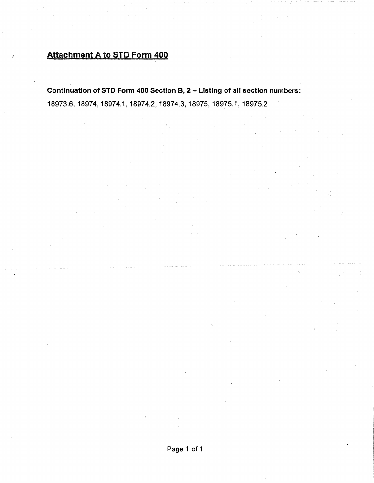# Attachment A to STD Form 400

**Continuation of STD Form 400 Section 8, 2** - **Listing of all section numbers:**  18973.6, 18974, 18974.1, 18974.2, 18974.3, 18975, 18975.1, 18975.2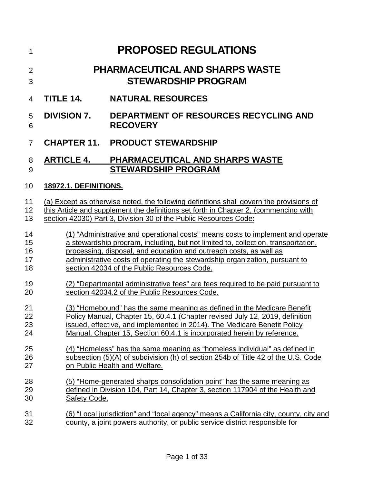| 1                          |                              | <b>PROPOSED REGULATIONS</b>                                                                                                                                                                                                                                                                                                                                              |
|----------------------------|------------------------------|--------------------------------------------------------------------------------------------------------------------------------------------------------------------------------------------------------------------------------------------------------------------------------------------------------------------------------------------------------------------------|
| $\overline{2}$<br>3        |                              | <b>PHARMACEUTICAL AND SHARPS WASTE</b><br><b>STEWARDSHIP PROGRAM</b>                                                                                                                                                                                                                                                                                                     |
| $\overline{4}$             | <b>TITLE 14.</b>             | <b>NATURAL RESOURCES</b>                                                                                                                                                                                                                                                                                                                                                 |
| 5<br>6                     | <b>DIVISION 7.</b>           | <b>DEPARTMENT OF RESOURCES RECYCLING AND</b><br><b>RECOVERY</b>                                                                                                                                                                                                                                                                                                          |
| $\overline{7}$             |                              | <b>CHAPTER 11. PRODUCT STEWARDSHIP</b>                                                                                                                                                                                                                                                                                                                                   |
| 8<br>9                     | <b>ARTICLE 4.</b>            | PHARMACEUTICAL AND SHARPS WASTE<br><b>STEWARDSHIP PROGRAM</b>                                                                                                                                                                                                                                                                                                            |
| 10                         | <b>18972.1. DEFINITIONS.</b> |                                                                                                                                                                                                                                                                                                                                                                          |
| 11<br>12<br>13             |                              | (a) Except as otherwise noted, the following definitions shall govern the provisions of<br>this Article and supplement the definitions set forth in Chapter 2, (commencing with<br>section 42030) Part 3, Division 30 of the Public Resources Code:                                                                                                                      |
| 14<br>15<br>16<br>17<br>18 |                              | (1) "Administrative and operational costs" means costs to implement and operate<br>a stewardship program, including, but not limited to, collection, transportation,<br>processing, disposal, and education and outreach costs, as well as<br>administrative costs of operating the stewardship organization, pursuant to<br>section 42034 of the Public Resources Code. |
| 19<br>20                   |                              | (2) "Departmental administrative fees" are fees required to be paid pursuant to<br>section 42034.2 of the Public Resources Code.                                                                                                                                                                                                                                         |
| 21<br>22<br>23<br>24       |                              | (3) "Homebound" has the same meaning as defined in the Medicare Benefit<br>Policy Manual, Chapter 15, 60.4.1 (Chapter revised July 12, 2019, definition<br>issued, effective, and implemented in 2014). The Medicare Benefit Policy<br>Manual, Chapter 15, Section 60.4.1 is incorporated herein by reference.                                                           |
| 25<br>26<br>27             |                              | (4) "Homeless" has the same meaning as "homeless individual" as defined in<br>subsection (5)(A) of subdivision (h) of section 254b of Title 42 of the U.S. Code<br>on Public Health and Welfare.                                                                                                                                                                         |
| 28<br>29<br>30             | <b>Safety Code.</b>          | (5) "Home-generated sharps consolidation point" has the same meaning as<br>defined in Division 104, Part 14, Chapter 3, section 117904 of the Health and                                                                                                                                                                                                                 |
| 31<br>32                   |                              | (6) "Local jurisdiction" and "local agency" means a California city, county, city and<br>county, a joint powers authority, or public service district responsible for                                                                                                                                                                                                    |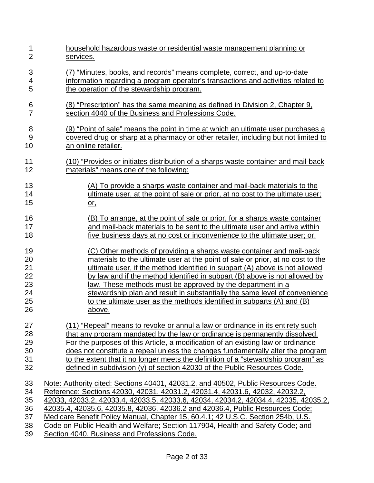| 1              | household hazardous waste or residential waste management planning or               |
|----------------|-------------------------------------------------------------------------------------|
| $\overline{2}$ | services.                                                                           |
| 3              | (7) "Minutes, books, and records" means complete, correct, and up-to-date           |
| 4              | information regarding a program operator's transactions and activities related to   |
| 5              | the operation of the stewardship program.                                           |
| 6              | (8) "Prescription" has the same meaning as defined in Division 2, Chapter 9,        |
| 7              | section 4040 of the Business and Professions Code.                                  |
| 8              | (9) "Point of sale" means the point in time at which an ultimate user purchases a   |
| 9              | covered drug or sharp at a pharmacy or other retailer, including but not limited to |
| 10             | an online retailer.                                                                 |
| 11             | (10) "Provides or initiates distribution of a sharps waste container and mail-back  |
| 12             | materials" means one of the following:                                              |
| 13             | (A) To provide a sharps waste container and mail-back materials to the              |
| 14             | ultimate user, at the point of sale or prior, at no cost to the ultimate user;      |
| 15             | <u>or,</u>                                                                          |
| 16             | (B) To arrange, at the point of sale or prior, for a sharps waste container         |
| 17             | and mail-back materials to be sent to the ultimate user and arrive within           |
| 18             | five business days at no cost or inconvenience to the ultimate user; or,            |
| 19             | (C) Other methods of providing a sharps waste container and mail-back               |
| 20             | materials to the ultimate user at the point of sale or prior, at no cost to the     |
| 21             | ultimate user, if the method identified in subpart (A) above is not allowed         |
| 22             | by law and if the method identified in subpart (B) above is not allowed by          |
| 23             | law. These methods must be approved by the department in a                          |
| 24             | stewardship plan and result in substantially the same level of convenience          |
| 25             | to the ultimate user as the methods identified in subparts (A) and (B)              |
| 26             | <u>above.</u>                                                                       |
| 27             | (11) "Repeal" means to revoke or annul a law or ordinance in its entirety such      |
| 28             | that any program mandated by the law or ordinance is permanently dissolved.         |
| 29             | For the purposes of this Article, a modification of an existing law or ordinance    |
| 30             | does not constitute a repeal unless the changes fundamentally alter the program     |
| 31             | to the extent that it no longer meets the definition of a "stewardship program" as  |
| 32             | defined in subdivision (y) of section 42030 of the Public Resources Code.           |
| 33             | Note: Authority cited: Sections 40401, 42031.2, and 40502, Public Resources Code.   |
| 34             | Reference: Sections 42030, 42031, 42031.2, 42031.4, 42031.6, 42032, 42032.2,        |
| 35             | 42033, 42033.2, 42033.4, 42033.5, 42033.6, 42034, 42034.2, 42034.4, 42035, 42035.2, |
| 36             | 42035.4, 42035.6, 42035.8, 42036, 42036.2 and 42036.4, Public Resources Code;       |
| 37             | Medicare Benefit Policy Manual, Chapter 15, 60.4.1; 42 U.S.C. Section 254b, U.S.    |
| 38             | Code on Public Health and Welfare; Section 117904, Health and Safety Code; and      |
| 39             | Section 4040, Business and Professions Code.                                        |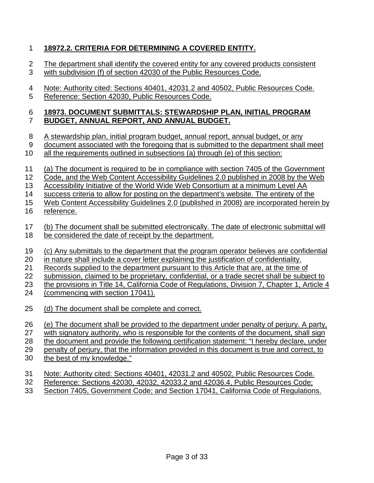### 1 **18972.2. CRITERIA FOR DETERMINING A COVERED ENTITY.**

- 2 The department shall identify the covered entity for any covered products consistent
- 3 with subdivision (f) of section 42030 of the Public Resources Code.
- 4 Note: Authority cited: Sections 40401, 42031.2 and 40502, Public Resources Code.
- 5 Reference: Section 42030, Public Resources Code.

#### 6 7 **18973. DOCUMENT SUBMITTALS: STEWARDSHIP PLAN, INITIAL PROGRAM BUDGET, ANNUAL REPORT, AND ANNUAL BUDGET.**

- 8 A stewardship plan, initial program budget, annual report, annual budget, or any
- 9 document associated with the foregoing that is submitted to the department shall meet
- 10 all the requirements outlined in subsections (a) through (e) of this section:
- 11 (a) The document is required to be in compliance with section 7405 of the Government
- 12 Code, and the Web Content Accessibility Guidelines 2.0 published in 2008 by the Web
- 13 14 Accessibility Initiative of the World Wide Web Consortium at a minimum Level AA success criteria to allow for posting on the department's website. The entirety of the
- 15 Web Content Accessibility Guidelines 2.0 (published in 2008) are incorporated herein by
- 16 reference.
- 17 (b) The document shall be submitted electronically. The date of electronic submittal will
- 18 be considered the date of receipt by the department.
- 19 (c) Any submittals to the department that the program operator believes are confidential
- 20 in nature shall include a cover letter explaining the justification of confidentiality.
- 21 Records supplied to the department pursuant to this Article that are, at the time of
- 22 submission, claimed to be proprietary, confidential, or a trade secret shall be subject to
- 23 the provisions in Title 14, California Code of Regulations, Division 7, Chapter 1, Article 4
- 24 (commencing with section 17041).
- 25 (d) The document shall be complete and correct.
- 26 (e) The document shall be provided to the department under penalty of perjury. A party,
- 27 with signatory authority, who is responsible for the contents of the document, shall sign
- 28 the document and provide the following certification statement: "I hereby declare, under
- 29 penalty of perjury, that the information provided in this document is true and correct, to
- 30 the best of my knowledge."
- 31 Note: Authority cited: Sections 40401, 42031.2 and 40502, Public Resources Code.
- 32 Reference: Sections 42030, 42032, 42033.2 and 42036.4, Public Resources Code;
- 33 Section 7405, Government Code; and Section 17041, California Code of Regulations.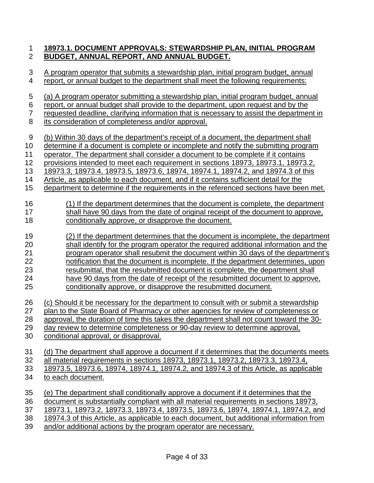### 1 **18973.1. DOCUMENT APPROVALS: STEWARDSHIP PLAN, INITIAL PROGRAM**  2 **BUDGET, ANNUAL REPORT, AND ANNUAL BUDGET.**

| 3              | A program operator that submits a stewardship plan, initial program budget, annual       |
|----------------|------------------------------------------------------------------------------------------|
| 4              | report, or annual budget to the department shall meet the following requirements:        |
| 5              | (a) A program operator submitting a stewardship plan, initial program budget, annual     |
| 6              | report, or annual budget shall provide to the department, upon request and by the        |
| $\overline{7}$ | requested deadline, clarifying information that is necessary to assist the department in |
| 8              | its consideration of completeness and/or approval.                                       |
| 9              | (b) Within 30 days of the department's receipt of a document, the department shall       |
| 10             | determine if a document is complete or incomplete and notify the submitting program      |
| 11             | operator. The department shall consider a document to be complete if it contains         |
| 12             | provisions intended to meet each requirement in sections 18973, 18973.1, 18973.2,        |
| 13             | 18973.3, 18973.4, 18973.5, 18973.6, 18974, 18974.1, 18974.2, and 18974.3 of this         |
| 14             | Article, as applicable to each document, and if it contains sufficient detail for the    |
| 15             | department to determine if the requirements in the referenced sections have been met.    |
| 16             | (1) If the department determines that the document is complete, the department           |
| 17             | shall have 90 days from the date of original receipt of the document to approve,         |
| 18             | conditionally approve, or disapprove the document.                                       |
| 19             | (2) If the department determines that the document is incomplete, the department         |
| 20             | shall identify for the program operator the required additional information and the      |
| 21             | program operator shall resubmit the document within 30 days of the department's          |
| 22             | notification that the document is incomplete. If the department determines, upon         |
| 23             | resubmittal, that the resubmitted document is complete, the department shall             |
| 24             | have 90 days from the date of receipt of the resubmitted document to approve,            |
| 25             | conditionally approve, or disapprove the resubmitted document.                           |
| 26             | (c) Should it be necessary for the department to consult with or submit a stewardship    |
| 27             | plan to the State Board of Pharmacy or other agencies for review of completeness or      |
| 28             | approval, the duration of time this takes the department shall not count toward the 30-  |
| 29             | day review to determine completeness or 90-day review to determine approval,             |
| 30             | conditional approval, or disapproval.                                                    |
| 31             | (d) The department shall approve a document if it determines that the documents meets    |
| 32             | all material requirements in sections 18973, 18973.1, 18973.2, 18973.3, 18973.4,         |
| 33             | 18973.5, 18973.6, 18974, 18974.1, 18974.2, and 18974.3 of this Article, as applicable    |
| 34             | to each document.                                                                        |
| 35             | (e) The department shall conditionally approve a document if it determines that the      |
| 36             | document is substantially compliant with all material requirements in sections 18973,    |
| 37             | 18973.1, 18973.2, 18973.3, 18973.4, 18973.5, 18973.6, 18974, 18974.1, 18974.2, and       |
| 38             | 18974.3 of this Article, as applicable to each document, but additional information from |
| 39             | and/or additional actions by the program operator are necessary.                         |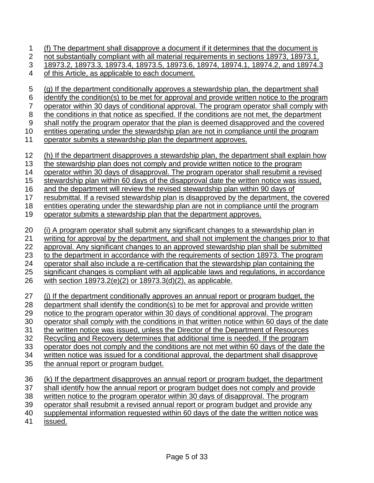1 (f) The department shall disapprove a document if it determines that the document is

2 3 not substantially compliant with all material requirements in sections 18973, 18973.1, 18973.2, 18973.3, 18973.4, 18973.5, 18973.6, 18974, 18974.1, 18974.2, and 18974.3

4 of this Article, as applicable to each document.

5 6 7 8 9 10 11 12 13 14 15 16 17 18 19 20 21 22 23 24 25 26 27 28 29 30 31 32 33 34 35 36 (g) If the department conditionally approves a stewardship plan, the department shall identify the condition(s) to be met for approval and provide written notice to the program operator within 30 days of conditional approval. The program operator shall comply with the conditions in that notice as specified. If the conditions are not met, the department shall notify the program operator that the plan is deemed disapproved and the covered entities operating under the stewardship plan are not in compliance until the program operator submits a stewardship plan the department approves. (h) If the department disapproves a stewardship plan, the department shall explain how the stewardship plan does not comply and provide written notice to the program operator within 30 days of disapproval. The program operator shall resubmit a revised stewardship plan within 60 days of the disapproval date the written notice was issued, and the department will review the revised stewardship plan within 90 days of resubmittal. If a revised stewardship plan is disapproved by the department, the covered entities operating under the stewardship plan are not in compliance until the program operator submits a stewardship plan that the department approves. (i) A program operator shall submit any significant changes to a stewardship plan in writing for approval by the department, and shall not implement the changes prior to that approval. Any significant changes to an approved stewardship plan shall be submitted to the department in accordance with the requirements of section 18973. The program operator shall also include a re-certification that the stewardship plan containing the significant changes is compliant with all applicable laws and regulations, in accordance with section 18973.2(e)(2) or 18973.3(d)(2), as applicable. (j) If the department conditionally approves an annual report or program budget, the department shall identify the condition(s) to be met for approval and provide written notice to the program operator within 30 days of conditional approval. The program operator shall comply with the conditions in that written notice within 60 days of the date the written notice was issued, unless the Director of the Department of Resources Recycling and Recovery determines that additional time is needed. If the program operator does not comply and the conditions are not met within 60 days of the date the written notice was issued for a conditional approval, the department shall disapprove the annual report or program budget. (k) If the department disapproves an annual report or program budget, the department

37 38 39 40 shall identify how the annual report or program budget does not comply and provide written notice to the program operator within 30 days of disapproval. The program operator shall resubmit a revised annual report or program budget and provide any supplemental information requested within 60 days of the date the written notice was

41 issued.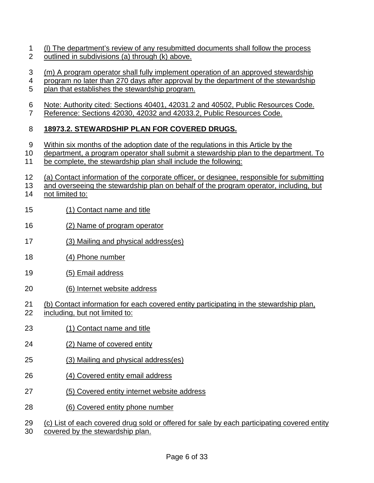- 1 (l) The department's review of any resubmitted documents shall follow the process  $\mathcal{P}$ outlined in subdivisions (a) through (k) above.
- 3 (m) A program operator shall fully implement operation of an approved stewardship
- 4 program no later than 270 days after approval by the department of the stewardship
- 5 plan that establishes the stewardship program.
- 6 Note: Authority cited: Sections 40401, 42031.2 and 40502, Public Resources Code.
- 7 Reference: Sections 42030, 42032 and 42033.2, Public Resources Code.

#### 8 **18973.2. STEWARDSHIP PLAN FOR COVERED DRUGS.**

- 9 Within six months of the adoption date of the regulations in this Article by the
- 10 department, a program operator shall submit a stewardship plan to the department. To
- 11 be complete, the stewardship plan shall include the following:
- 12 (a) Contact information of the corporate officer, or designee, responsible for submitting
- 13 and overseeing the stewardship plan on behalf of the program operator, including, but
- 14 not limited to:
- 15 (1) Contact name and title
- 16 (2) Name of program operator
- 17 (3) Mailing and physical address(es)
- 18 (4) Phone number
- 19 (5) Email address
- 20 (6) Internet website address
- 21 (b) Contact information for each covered entity participating in the stewardship plan,
- 22 including, but not limited to:
- 23 (1) Contact name and title
- 24 (2) Name of covered entity
- 25 (3) Mailing and physical address(es)
- 26 (4) Covered entity email address
- 27 (5) Covered entity internet website address
- 28 (6) Covered entity phone number
- 29 (c) List of each covered drug sold or offered for sale by each participating covered entity
- 30 covered by the stewardship plan.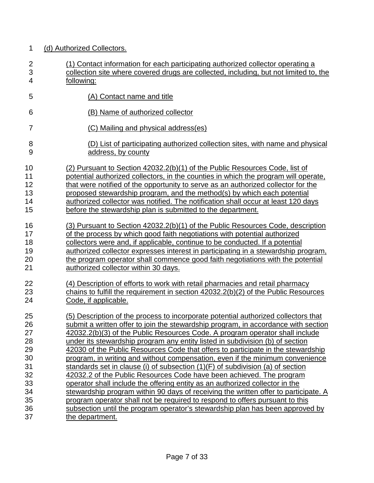| 1              | (d) Authorized Collectors.                                                            |
|----------------|---------------------------------------------------------------------------------------|
| $\overline{2}$ | (1) Contact information for each participating authorized collector operating a       |
| 3              | collection site where covered drugs are collected, including, but not limited to, the |
| $\overline{4}$ | following:                                                                            |
| 5              | (A) Contact name and title                                                            |
| 6              | (B) Name of authorized collector                                                      |
| 7              | (C) Mailing and physical address(es)                                                  |
| 8              | (D) List of participating authorized collection sites, with name and physical         |
| 9              | address, by county                                                                    |
| 10             | (2) Pursuant to Section 42032.2(b)(1) of the Public Resources Code, list of           |
| 11             | potential authorized collectors, in the counties in which the program will operate,   |
| 12             | that were notified of the opportunity to serve as an authorized collector for the     |
| 13             | proposed stewardship program, and the method(s) by which each potential               |
| 14             | authorized collector was notified. The notification shall occur at least 120 days     |
| 15             | before the stewardship plan is submitted to the department.                           |
| 16             | (3) Pursuant to Section 42032.2(b)(1) of the Public Resources Code, description       |
| 17             | of the process by which good faith negotiations with potential authorized             |
| 18             | collectors were and, if applicable, continue to be conducted. If a potential          |
| 19             | authorized collector expresses interest in participating in a stewardship program,    |
| 20             | the program operator shall commence good faith negotiations with the potential        |
| 21             | authorized collector within 30 days.                                                  |
| 22             | (4) Description of efforts to work with retail pharmacies and retail pharmacy         |
| 23             | chains to fulfill the requirement in section 42032.2(b)(2) of the Public Resources    |
| 24             | Code, if applicable.                                                                  |
| 25             | (5) Description of the process to incorporate potential authorized collectors that    |
| 26             | submit a written offer to join the stewardship program, in accordance with section    |
| 27             | 42032.2(b)(3) of the Public Resources Code. A program operator shall include          |
| 28             | under its stewardship program any entity listed in subdivision (b) of section         |
| 29             | 42030 of the Public Resources Code that offers to participate in the stewardship      |
| 30             | program, in writing and without compensation, even if the minimum convenience         |
| 31             | standards set in clause (i) of subsection $(1)(F)$ of subdivision (a) of section      |
| 32             | 42032.2 of the Public Resources Code have been achieved. The program                  |
| 33             | operator shall include the offering entity as an authorized collector in the          |
| 34             | stewardship program within 90 days of receiving the written offer to participate. A   |
| 35             | program operator shall not be required to respond to offers pursuant to this          |
| 36             | subsection until the program operator's stewardship plan has been approved by         |
| 37             | the department.                                                                       |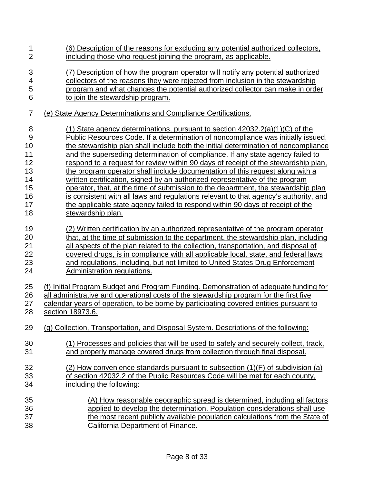| 1              | (6) Description of the reasons for excluding any potential authorized collectors,      |
|----------------|----------------------------------------------------------------------------------------|
| $\overline{2}$ | including those who request joining the program, as applicable.                        |
| 3              | (7) Description of how the program operator will notify any potential authorized       |
| 4              | collectors of the reasons they were rejected from inclusion in the stewardship         |
| 5              | program and what changes the potential authorized collector can make in order          |
| 6              | to join the stewardship program.                                                       |
| 7              | (e) State Agency Determinations and Compliance Certifications.                         |
| 8              | (1) State agency determinations, pursuant to section $42032.2(a)(1)(C)$ of the         |
| $9\,$          | Public Resources Code. If a determination of noncompliance was initially issued.       |
| 10             | the stewardship plan shall include both the initial determination of noncompliance     |
| 11             | and the superseding determination of compliance. If any state agency failed to         |
| 12             | respond to a request for review within 90 days of receipt of the stewardship plan,     |
| 13             | the program operator shall include documentation of this request along with a          |
| 14             | written certification, signed by an authorized representative of the program           |
| 15             | operator, that, at the time of submission to the department, the stewardship plan      |
| 16             | is consistent with all laws and regulations relevant to that agency's authority, and   |
| 17             | the applicable state agency failed to respond within 90 days of receipt of the         |
| 18             | stewardship plan.                                                                      |
| 19             | (2) Written certification by an authorized representative of the program operator      |
| 20             | that, at the time of submission to the department, the stewardship plan, including     |
| 21             | all aspects of the plan related to the collection, transportation, and disposal of     |
| 22             | covered drugs, is in compliance with all applicable local, state, and federal laws     |
| 23             | and regulations, including, but not limited to United States Drug Enforcement          |
| 24             | Administration regulations.                                                            |
| 25             | (f) Initial Program Budget and Program Funding. Demonstration of adequate funding for  |
| 26             | all administrative and operational costs of the stewardship program for the first five |
| 27             | calendar years of operation, to be borne by participating covered entities pursuant to |
| 28             | section 18973.6.                                                                       |
| 29             | (g) Collection, Transportation, and Disposal System. Descriptions of the following:    |
| 30             | (1) Processes and policies that will be used to safely and securely collect, track,    |
| 31             | and properly manage covered drugs from collection through final disposal.              |
| 32             | (2) How convenience standards pursuant to subsection $(1)(F)$ of subdivision (a)       |
| 33             | of section 42032.2 of the Public Resources Code will be met for each county,           |
| 34             | including the following:                                                               |
| 35             | (A) How reasonable geographic spread is determined, including all factors              |
| 36             | applied to develop the determination. Population considerations shall use              |
| 37             | the most recent publicly available population calculations from the State of           |
| 38             | California Department of Finance.                                                      |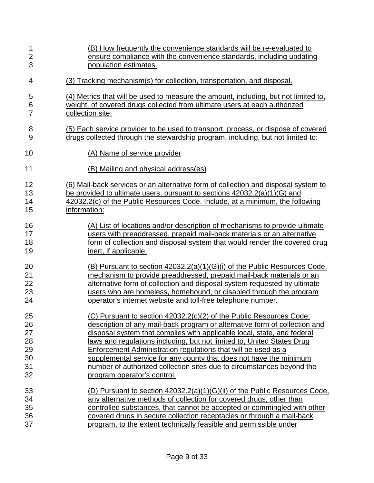| 1              | (B) How frequently the convenience standards will be re-evaluated to                |
|----------------|-------------------------------------------------------------------------------------|
| $\overline{c}$ | ensure compliance with the convenience standards, including updating                |
| 3              | population estimates.                                                               |
| 4              | (3) Tracking mechanism(s) for collection, transportation, and disposal.             |
| 5              | (4) Metrics that will be used to measure the amount, including, but not limited to, |
| 6              | weight, of covered drugs collected from ultimate users at each authorized           |
| $\overline{7}$ | collection site.                                                                    |
| 8              | (5) Each service provider to be used to transport, process, or dispose of covered   |
| $\overline{9}$ | drugs collected through the stewardship program, including, but not limited to:     |
| 10             | (A) Name of service provider                                                        |
| 11             | (B) Mailing and physical address(es)                                                |
| 12             | (6) Mail-back services or an alternative form of collection and disposal system to  |
| 13             | be provided to ultimate users, pursuant to sections 42032.2(a)(1)(G) and            |
| 14             | 42032.2(c) of the Public Resources Code. Include, at a minimum, the following       |
| 15             | information:                                                                        |
| 16             | (A) List of locations and/or description of mechanisms to provide ultimate          |
| 17             | users with preaddressed, prepaid mail-back materials or an alternative              |
| 18             | form of collection and disposal system that would render the covered drug           |
| 19             | inert, if applicable.                                                               |
| 20             | (B) Pursuant to section 42032.2(a)(1)(G)(i) of the Public Resources Code,           |
| 21             | mechanism to provide preaddressed, prepaid mail-back materials or an                |
| 22             | alternative form of collection and disposal system requested by ultimate            |
| 23             | users who are homeless, homebound, or disabled through the program                  |
| 24             | operator's internet website and toll-free telephone number.                         |
| 25             | (C) Pursuant to section 42032.2(c)(2) of the Public Resources Code,                 |
| 26             | description of any mail-back program or alternative form of collection and          |
| 27             | disposal system that complies with applicable local, state, and federal             |
| 28             | <u>laws and regulations including, but not limited to, United States Drug</u>       |
| 29             | <b>Enforcement Administration regulations that will be used as a</b>                |
| 30             | supplemental service for any county that does not have the minimum                  |
| 31             | number of authorized collection sites due to circumstances beyond the               |
| 32             | program operator's control.                                                         |
| 33             | (D) Pursuant to section 42032.2(a)(1)(G)(ii) of the Public Resources Code,          |
| 34             | any alternative methods of collection for covered drugs, other than                 |
| 35             | controlled substances, that cannot be accepted or commingled with other             |
| 36             | covered drugs in secure collection receptacles or through a mail-back               |
| 37             | program, to the extent technically feasible and permissible under                   |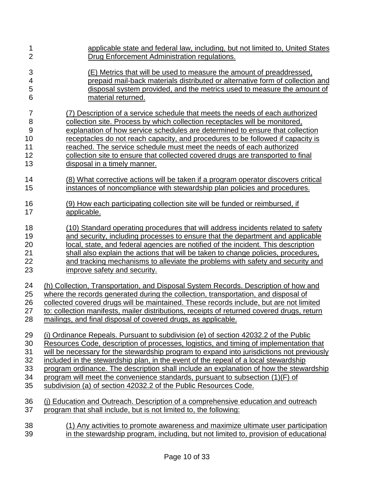| 1              | applicable state and federal law, including, but not limited to, United States             |
|----------------|--------------------------------------------------------------------------------------------|
| $\overline{2}$ | Drug Enforcement Administration regulations.                                               |
| 3              | (E) Metrics that will be used to measure the amount of preaddressed.                       |
| 4              | prepaid mail-back materials distributed or alternative form of collection and              |
| 5              | disposal system provided, and the metrics used to measure the amount of                    |
| 6              | material returned.                                                                         |
| $\overline{7}$ | (7) Description of a service schedule that meets the needs of each authorized              |
| 8              | collection site. Process by which collection receptacles will be monitored,                |
| 9              | explanation of how service schedules are determined to ensure that collection              |
| 10             | receptacles do not reach capacity, and procedures to be followed if capacity is            |
| 11             | reached. The service schedule must meet the needs of each authorized                       |
| 12             | collection site to ensure that collected covered drugs are transported to final            |
| 13             | disposal in a timely manner.                                                               |
| 14             | (8) What corrective actions will be taken if a program operator discovers critical         |
| 15             | instances of noncompliance with stewardship plan policies and procedures.                  |
| 16             | (9) How each participating collection site will be funded or reimbursed, if                |
| 17             | applicable.                                                                                |
| 18             | (10) Standard operating procedures that will address incidents related to safety           |
| 19             | and security, including processes to ensure that the department and applicable             |
| 20             | local, state, and federal agencies are notified of the incident. This description          |
| 21             | shall also explain the actions that will be taken to change policies, procedures,          |
| 22             | and tracking mechanisms to alleviate the problems with safety and security and             |
| 23             | improve safety and security.                                                               |
| 24             | (h) Collection, Transportation, and Disposal System Records. Description of how and        |
| 25             | where the records generated during the collection, transportation, and disposal of         |
| 26             | collected covered drugs will be maintained. These records include, but are not limited     |
| 27             | to: collection manifests, mailer distributions, receipts of returned covered drugs, return |
| 28             | mailings, and final disposal of covered drugs, as applicable.                              |
| 29             | (i) Ordinance Repeals. Pursuant to subdivision (e) of section 42032.2 of the Public        |
| 30             | Resources Code, description of processes, logistics, and timing of implementation that     |
| 31             | will be necessary for the stewardship program to expand into jurisdictions not previously  |
| 32             | included in the stewardship plan, in the event of the repeal of a local stewardship        |
| 33             | program ordinance. The description shall include an explanation of how the stewardship     |
| 34             | program will meet the convenience standards, pursuant to subsection (1)(F) of              |
| 35             | subdivision (a) of section 42032.2 of the Public Resources Code.                           |
| 36             | (i) Education and Outreach. Description of a comprehensive education and outreach          |
| 37             | program that shall include, but is not limited to, the following:                          |
| 38             | (1) Any activities to promote awareness and maximize ultimate user participation           |
| 39             | in the stewardship program, including, but not limited to, provision of educational        |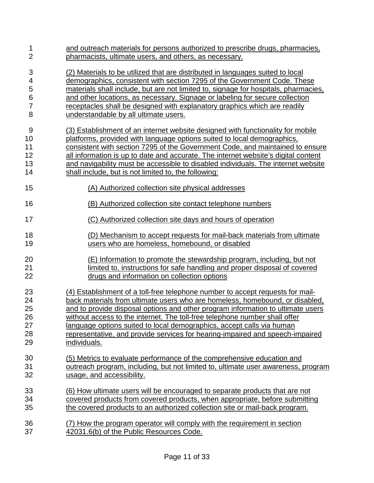| 1              | and outreach materials for persons authorized to prescribe drugs, pharmacies,       |
|----------------|-------------------------------------------------------------------------------------|
| $\overline{2}$ | pharmacists, ultimate users, and others, as necessary.                              |
| 3              | (2) Materials to be utilized that are distributed in languages suited to local      |
| 4              | demographics, consistent with section 7295 of the Government Code. These            |
| 5              | materials shall include, but are not limited to, signage for hospitals, pharmacies, |
| 6              | and other locations, as necessary. Signage or labeling for secure collection        |
| $\overline{7}$ | receptacles shall be designed with explanatory graphics which are readily           |
| 8              | understandable by all ultimate users.                                               |
| 9              | (3) Establishment of an internet website designed with functionality for mobile     |
| 10             | platforms, provided with language options suited to local demographics,             |
| 11             | consistent with section 7295 of the Government Code, and maintained to ensure       |
| 12             | all information is up to date and accurate. The internet website's digital content  |
| 13             | and navigability must be accessible to disabled individuals. The internet website   |
| 14             | shall include, but is not limited to, the following:                                |
| 15             | (A) Authorized collection site physical addresses                                   |
| 16             | (B) Authorized collection site contact telephone numbers                            |
| 17             | (C) Authorized collection site days and hours of operation                          |
| 18             | (D) Mechanism to accept requests for mail-back materials from ultimate              |
| 19             | users who are homeless, homebound, or disabled                                      |
| 20             | (E) Information to promote the stewardship program, including, but not              |
| 21             | limited to, instructions for safe handling and proper disposal of covered           |
| 22             | drugs and information on collection options                                         |
| 23             | (4) Establishment of a toll-free telephone number to accept requests for mail-      |
| 24             | back materials from ultimate users who are homeless, homebound, or disabled,        |
| 25             | and to provide disposal options and other program information to ultimate users     |
| 26             | without access to the internet. The toll-free telephone number shall offer          |
| 27             | language options suited to local demographics, accept calls via human               |
| 28             | representative, and provide services for hearing-impaired and speech-impaired       |
| 29             | individuals.                                                                        |
| 30             | (5) Metrics to evaluate performance of the comprehensive education and              |
| 31             | outreach program, including, but not limited to, ultimate user awareness, program   |
| 32             | usage, and accessibility.                                                           |
| 33             | (6) How ultimate users will be encouraged to separate products that are not         |
| 34             | covered products from covered products, when appropriate, before submitting         |
| 35             | the covered products to an authorized collection site or mail-back program.         |
| 36             | (7) How the program operator will comply with the requirement in section            |
| 37             | 42031.6(b) of the Public Resources Code.                                            |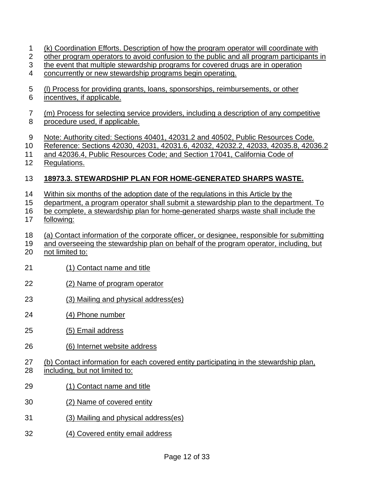- 1 (k) Coordination Efforts. Description of how the program operator will coordinate with
- 2 other program operators to avoid confusion to the public and all program participants in
- 3 the event that multiple stewardship programs for covered drugs are in operation
- 4 concurrently or new stewardship programs begin operating.
- 5 (l) Process for providing grants, loans, sponsorships, reimbursements, or other
- 6 incentives, if applicable.
- 7 8 (m) Process for selecting service providers, including a description of any competitive procedure used, if applicable.
- 9 Note: Authority cited: Sections 40401, 42031.2 and 40502, Public Resources Code.
- 10 Reference: Sections 42030, 42031, 42031.6, 42032, 42032.2, 42033, 42035.8, 42036.2
- 11 and 42036.4, Public Resources Code; and Section 17041, California Code of
- 12 Regulations.

#### 13 **18973.3. STEWARDSHIP PLAN FOR HOME-GENERATED SHARPS WASTE.**

- 14 Within six months of the adoption date of the regulations in this Article by the
- 15 department, a program operator shall submit a stewardship plan to the department. To
- 16 17 be complete, a stewardship plan for home-generated sharps waste shall include the following:
- 18 (a) Contact information of the corporate officer, or designee, responsible for submitting
- 19 and overseeing the stewardship plan on behalf of the program operator, including, but
- 20 not limited to:
- 21 (1) Contact name and title
- 22 (2) Name of program operator
- 23 (3) Mailing and physical address(es)
- 24 (4) Phone number
- 25 (5) Email address
- 26 (6) Internet website address
- 27 28 (b) Contact information for each covered entity participating in the stewardship plan, including, but not limited to:
- 29 (1) Contact name and title
- 30 (2) Name of covered entity
- 31 (3) Mailing and physical address(es)
- 32 (4) Covered entity email address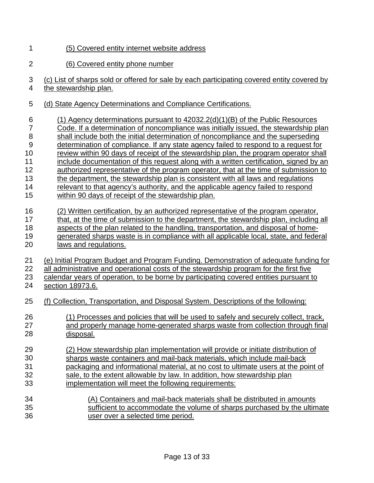- 1 (5) Covered entity internet website address
- 2 (6) Covered entity phone number
- 3 4 (c) List of sharps sold or offered for sale by each participating covered entity covered by the stewardship plan.
- 5 (d) State Agency Determinations and Compliance Certifications.
- 6 7 8 9 10 11 12 13 14 15 16 17 18 19 20 21 22 23 24 25 26 27 28 29 30 31 32 33 34 35 36 (1) Agency determinations pursuant to 42032.2(d)(1)(B) of the Public Resources Code. If a determination of noncompliance was initially issued, the stewardship plan shall include both the initial determination of noncompliance and the superseding determination of compliance. If any state agency failed to respond to a request for review within 90 days of receipt of the stewardship plan, the program operator shall include documentation of this request along with a written certification, signed by an authorized representative of the program operator, that at the time of submission to the department, the stewardship plan is consistent with all laws and regulations relevant to that agency's authority, and the applicable agency failed to respond within 90 days of receipt of the stewardship plan. (2) Written certification, by an authorized representative of the program operator, that, at the time of submission to the department, the stewardship plan, including all aspects of the plan related to the handling, transportation, and disposal of homegenerated sharps waste is in compliance with all applicable local, state, and federal laws and regulations. (e) Initial Program Budget and Program Funding. Demonstration of adequate funding for all administrative and operational costs of the stewardship program for the first five calendar years of operation, to be borne by participating covered entities pursuant to section 18973.6. (f) Collection, Transportation, and Disposal System. Descriptions of the following: (1) Processes and policies that will be used to safely and securely collect, track, and properly manage home-generated sharps waste from collection through final disposal. (2) How stewardship plan implementation will provide or initiate distribution of sharps waste containers and mail-back materials, which include mail-back packaging and informational material, at no cost to ultimate users at the point of sale, to the extent allowable by law. In addition, how stewardship plan implementation will meet the following requirements: (A) Containers and mail-back materials shall be distributed in amounts sufficient to accommodate the volume of sharps purchased by the ultimate user over a selected time period.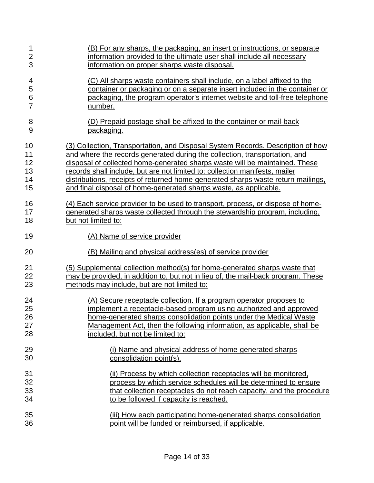| 1              | (B) For any sharps, the packaging, an insert or instructions, or separate         |
|----------------|-----------------------------------------------------------------------------------|
| $\overline{2}$ | information provided to the ultimate user shall include all necessary             |
| 3              | information on proper sharps waste disposal.                                      |
| 4              | (C) All sharps waste containers shall include, on a label affixed to the          |
| 5              | container or packaging or on a separate insert included in the container or       |
| 6              | packaging, the program operator's internet website and toll-free telephone        |
| $\overline{7}$ | number.                                                                           |
| 8              | (D) Prepaid postage shall be affixed to the container or mail-back                |
| 9              | <u>packaging.</u>                                                                 |
| 10             | (3) Collection, Transportation, and Disposal System Records. Description of how   |
| 11             | and where the records generated during the collection, transportation, and        |
| 12             | disposal of collected home-generated sharps waste will be maintained. These       |
| 13             | records shall include, but are not limited to: collection manifests, mailer       |
| 14             | distributions, receipts of returned home-generated sharps waste return mailings,  |
| 15             | and final disposal of home-generated sharps waste, as applicable.                 |
| 16             | (4) Each service provider to be used to transport, process, or dispose of home-   |
| 17             | generated sharps waste collected through the stewardship program, including,      |
| 18             | but not limited to:                                                               |
| 19             | (A) Name of service provider                                                      |
| 20             | (B) Mailing and physical address(es) of service provider                          |
| 21             | (5) Supplemental collection method(s) for home-generated sharps waste that        |
| 22             | may be provided, in addition to, but not in lieu of, the mail-back program. These |
| 23             | methods may include, but are not limited to:                                      |
| 24             | (A) Secure receptacle collection. If a program operator proposes to               |
| 25             | implement a receptacle-based program using authorized and approved                |
| 26             | home-generated sharps consolidation points under the Medical Waste                |
| 27             | Management Act, then the following information, as applicable, shall be           |
| 28             | included, but not be limited to:                                                  |
| 29             | (i) Name and physical address of home-generated sharps                            |
| 30             | consolidation point(s).                                                           |
| 31             | (ii) Process by which collection receptacles will be monitored.                   |
| 32             | process by which service schedules will be determined to ensure                   |
| 33             | that collection receptacles do not reach capacity, and the procedure              |
| 34             | to be followed if capacity is reached.                                            |
| 35             | (iii) How each participating home-generated sharps consolidation                  |
| 36             | point will be funded or reimbursed, if applicable.                                |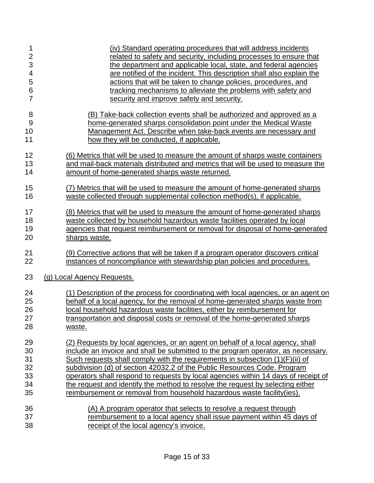| 1              | (iv) Standard operating procedures that will address incidents                      |
|----------------|-------------------------------------------------------------------------------------|
| $\overline{2}$ | related to safety and security, including processes to ensure that                  |
| 3              | the department and applicable local, state, and federal agencies                    |
| 4              | are notified of the incident. This description shall also explain the               |
| 5              | actions that will be taken to change policies, procedures, and                      |
| 6              | tracking mechanisms to alleviate the problems with safety and                       |
| $\overline{7}$ | security and improve safety and security.                                           |
| 8              | (B) Take-back collection events shall be authorized and approved as a               |
| 9              | home-generated sharps consolidation point under the Medical Waste                   |
| 10             | Management Act. Describe when take-back events are necessary and                    |
| 11             | how they will be conducted, if applicable.                                          |
| 12             | (6) Metrics that will be used to measure the amount of sharps waste containers      |
| 13             | and mail-back materials distributed and metrics that will be used to measure the    |
| 14             | amount of home-generated sharps waste returned.                                     |
| 15             | (7) Metrics that will be used to measure the amount of home-generated sharps        |
| 16             | waste collected through supplemental collection method(s), if applicable.           |
| 17             | (8) Metrics that will be used to measure the amount of home-generated sharps        |
| 18             | waste collected by household hazardous waste facilities operated by local           |
| 19             | agencies that request reimbursement or removal for disposal of home-generated       |
| 20             | sharps waste.                                                                       |
| 21             | (9) Corrective actions that will be taken if a program operator discovers critical  |
| 22             | instances of noncompliance with stewardship plan policies and procedures.           |
| 23             | (g) Local Agency Requests.                                                          |
| 24             | (1) Description of the process for coordinating with local agencies, or an agent on |
| 25             | behalf of a local agency, for the removal of home-generated sharps waste from       |
| 26             | local household hazardous waste facilities, either by reimbursement for             |
| 27             | transportation and disposal costs or removal of the home-generated sharps           |
| 28             | waste.                                                                              |
| 29             | (2) Requests by local agencies, or an agent on behalf of a local agency, shall      |
| 30             | include an invoice and shall be submitted to the program operator, as necessary.    |
| 31             | Such requests shall comply with the requirements in subsection (1)(F)(ii) of        |
| 32             | subdivision (d) of section 42032.2 of the Public Resources Code. Program            |
| 33             | operators shall respond to requests by local agencies within 14 days of receipt of  |
| 34             | the request and identify the method to resolve the request by selecting either      |
| 35             | reimbursement or removal from household hazardous waste facility(ies).              |
| 36             | (A) A program operator that selects to resolve a request through                    |
| 37             | reimbursement to a local agency shall issue payment within 45 days of               |
| 38             | receipt of the local agency's invoice.                                              |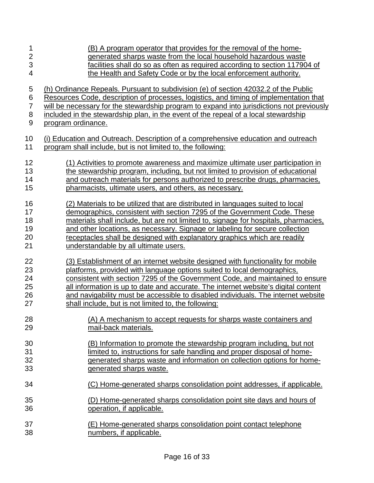| 1                | (B) A program operator that provides for the removal of the home-                         |
|------------------|-------------------------------------------------------------------------------------------|
| $\overline{2}$   | generated sharps waste from the local household hazardous waste                           |
| 3                | facilities shall do so as often as required according to section 117904 of                |
| 4                | the Health and Safety Code or by the local enforcement authority.                         |
| 5                | (h) Ordinance Repeals. Pursuant to subdivision (e) of section 42032.2 of the Public       |
| 6                | Resources Code, description of processes, logistics, and timing of implementation that    |
| $\overline{7}$   | will be necessary for the stewardship program to expand into jurisdictions not previously |
| 8                | included in the stewardship plan, in the event of the repeal of a local stewardship       |
| $\boldsymbol{9}$ | program ordinance.                                                                        |
| 10               | (i) Education and Outreach. Description of a comprehensive education and outreach         |
| 11               | program shall include, but is not limited to, the following:                              |
| 12               | (1) Activities to promote awareness and maximize ultimate user participation in           |
| 13               | the stewardship program, including, but not limited to provision of educational           |
| 14               | and outreach materials for persons authorized to prescribe drugs, pharmacies,             |
| 15               | pharmacists, ultimate users, and others, as necessary.                                    |
| 16               | (2) Materials to be utilized that are distributed in languages suited to local            |
| 17               | demographics, consistent with section 7295 of the Government Code. These                  |
| 18               | materials shall include, but are not limited to, signage for hospitals, pharmacies,       |
| 19               | and other locations, as necessary. Signage or labeling for secure collection              |
| 20               | receptacles shall be designed with explanatory graphics which are readily                 |
| 21               | understandable by all ultimate users.                                                     |
| 22               | (3) Establishment of an internet website designed with functionality for mobile           |
| 23               | platforms, provided with language options suited to local demographics,                   |
| 24               | consistent with section 7295 of the Government Code, and maintained to ensure             |
| 25               | all information is up to date and accurate. The internet website's digital content        |
| 26               | and navigability must be accessible to disabled individuals. The internet website         |
| 27               | shall include, but is not limited to, the following:                                      |
| 28               | (A) A mechanism to accept requests for sharps waste containers and                        |
| 29               | mail-back materials.                                                                      |
| 30               | (B) Information to promote the stewardship program including, but not                     |
| 31               | limited to, instructions for safe handling and proper disposal of home-                   |
| 32               | generated sharps waste and information on collection options for home-                    |
| 33               | generated sharps waste.                                                                   |
| 34               | (C) Home-generated sharps consolidation point addresses, if applicable.                   |
| 35               | (D) Home-generated sharps consolidation point site days and hours of                      |
| 36               | operation, if applicable.                                                                 |
| 37               | (E) Home-generated sharps consolidation point contact telephone                           |
| 38               | numbers, if applicable.                                                                   |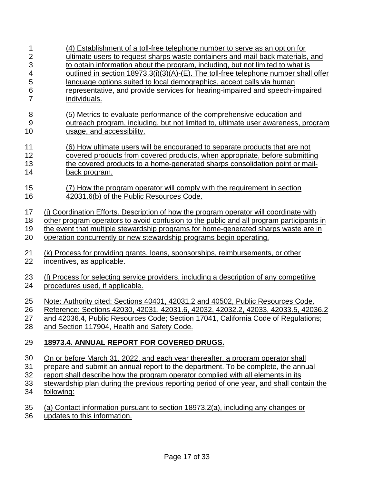| 1              | (4) Establishment of a toll-free telephone number to serve as an option for              |
|----------------|------------------------------------------------------------------------------------------|
| $\overline{2}$ | ultimate users to request sharps waste containers and mail-back materials, and           |
| 3              | to obtain information about the program, including, but not limited to what is           |
| 4              | outlined in section 18973.3(i)(3)(A)-(E). The toll-free telephone number shall offer     |
| 5              | language options suited to local demographics, accept calls via human                    |
| 6              | representative, and provide services for hearing-impaired and speech-impaired            |
| $\overline{7}$ | <u>individuals.</u>                                                                      |
| 8              | (5) Metrics to evaluate performance of the comprehensive education and                   |
| 9              | outreach program, including, but not limited to, ultimate user awareness, program        |
| 10             | usage, and accessibility.                                                                |
| 11             | (6) How ultimate users will be encouraged to separate products that are not              |
| 12             | covered products from covered products, when appropriate, before submitting              |
| 13             | the covered products to a home-generated sharps consolidation point or mail-             |
| 14             | back program.                                                                            |
| 15             | (7) How the program operator will comply with the requirement in section                 |
| 16             | 42031.6(b) of the Public Resources Code.                                                 |
| 17             | (i) Coordination Efforts. Description of how the program operator will coordinate with   |
| 18             | other program operators to avoid confusion to the public and all program participants in |
| 19             | the event that multiple stewardship programs for home-generated sharps waste are in      |
| 20             | operation concurrently or new stewardship programs begin operating.                      |
| 21             | (k) Process for providing grants, loans, sponsorships, reimbursements, or other          |
| 22             | incentives, as applicable.                                                               |
| 23             | (I) Process for selecting service providers, including a description of any competitive  |
| 24             | procedures used, if applicable.                                                          |
| 25             | Note: Authority cited: Sections 40401, 42031.2 and 40502, Public Resources Code.         |
| 26             | Reference: Sections 42030, 42031, 42031.6, 42032, 42032.2, 42033, 42033.5, 42036.2       |
| 27             | and 42036.4, Public Resources Code; Section 17041, California Code of Regulations;       |
| 28             | and Section 117904, Health and Safety Code.                                              |
| 29             | 18973.4. ANNUAL REPORT FOR COVERED DRUGS.                                                |
| 30             | On or before March 31, 2022, and each year thereafter, a program operator shall          |
| 31             | prepare and submit an annual report to the department. To be complete, the annual        |
| 32             | report shall describe how the program operator complied with all elements in its         |
| 33             | stewardship plan during the previous reporting period of one year, and shall contain the |
| 34             | following:                                                                               |

- 35 (a) Contact information pursuant to section 18973.2(a), including any changes or
- 36 updates to this information.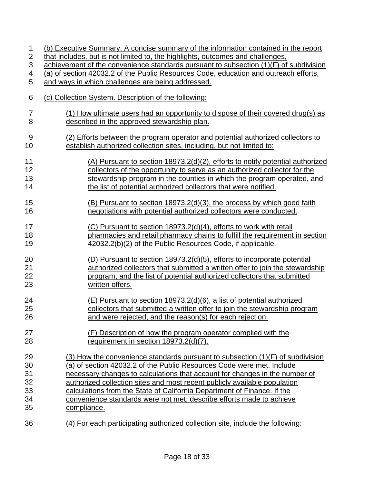| 1                         | (b) Executive Summary. A concise summary of the information contained in the report   |
|---------------------------|---------------------------------------------------------------------------------------|
| $\overline{c}$            | that includes, but is not limited to, the highlights, outcomes and challenges,        |
| $\ensuremath{\mathsf{3}}$ | achievement of the convenience standards pursuant to subsection (1)(F) of subdivision |
| 4                         | (a) of section 42032.2 of the Public Resources Code, education and outreach efforts,  |
| 5                         |                                                                                       |
|                           | and ways in which challenges are being addressed.                                     |
| 6                         | (c) Collection System. Description of the following:                                  |
| $\overline{7}$            | (1) How ultimate users had an opportunity to dispose of their covered drug(s) as      |
| 8                         | described in the approved stewardship plan.                                           |
|                           |                                                                                       |
| 9                         | (2) Efforts between the program operator and potential authorized collectors to       |
| 10                        | establish authorized collection sites, including, but not limited to:                 |
| 11                        | (A) Pursuant to section 18973.2(d)(2), efforts to notify potential authorized         |
|                           |                                                                                       |
| 12                        | collectors of the opportunity to serve as an authorized collector for the             |
| 13                        | stewardship program in the counties in which the program operated, and                |
| 14                        | the list of potential authorized collectors that were notified.                       |
| 15                        | (B) Pursuant to section 18973.2(d)(3), the process by which good faith                |
| 16                        | negotiations with potential authorized collectors were conducted.                     |
|                           |                                                                                       |
| 17                        | (C) Pursuant to section 18973.2(d)(4), efforts to work with retail                    |
| 18                        | pharmacies and retail pharmacy chains to fulfill the requirement in section           |
| 19                        | 42032.2(b)(2) of the Public Resources Code, if applicable.                            |
| 20                        | (D) Pursuant to section 18973.2(d)(5), efforts to incorporate potential               |
| 21                        | authorized collectors that submitted a written offer to join the stewardship          |
|                           |                                                                                       |
| 22                        | program, and the list of potential authorized collectors that submitted               |
| 23                        | written offers.                                                                       |
| 24                        | (E) Pursuant to section 18973.2(d)(6), a list of potential authorized                 |
| 25                        | collectors that submitted a written offer to join the stewardship program             |
|                           |                                                                                       |
| 26                        | and were rejected, and the reason(s) for each rejection.                              |
| 27                        | (F) Description of how the program operator complied with the                         |
| 28                        | requirement in section 18973.2(d)(7).                                                 |
|                           |                                                                                       |
| 29                        | (3) How the convenience standards pursuant to subsection (1)(F) of subdivision        |
| 30                        | (a) of section 42032.2 of the Public Resources Code were met. Include                 |
| 31                        | necessary changes to calculations that account for changes in the number of           |
| 32                        | authorized collection sites and most recent publicly available population             |
| 33                        | calculations from the State of California Department of Finance. If the               |
| 34                        | convenience standards were not met, describe efforts made to achieve                  |
| 35                        | compliance.                                                                           |
|                           |                                                                                       |
| 36                        | (4) For each participating authorized collection site, include the following:         |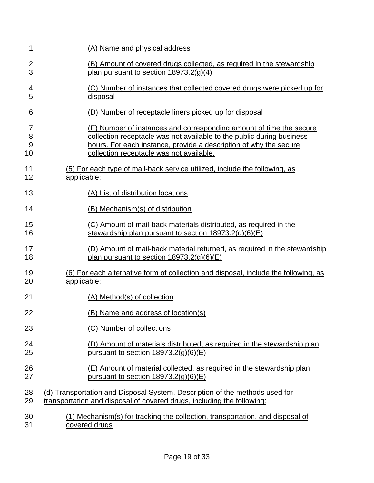| 1  | (A) Name and physical address                                                       |
|----|-------------------------------------------------------------------------------------|
| 2  | (B) Amount of covered drugs collected, as required in the stewardship               |
| 3  | plan pursuant to section $18973.2(g)(4)$                                            |
| 4  | (C) Number of instances that collected covered drugs were picked up for             |
| 5  | disposal                                                                            |
| 6  | (D) Number of receptacle liners picked up for disposal                              |
| 7  | (E) Number of instances and corresponding amount of time the secure                 |
| 8  | collection receptacle was not available to the public during business               |
| 9  | hours. For each instance, provide a description of why the secure                   |
| 10 | collection receptacle was not available.                                            |
| 11 | (5) For each type of mail-back service utilized, include the following, as          |
| 12 | applicable:                                                                         |
| 13 |                                                                                     |
|    | (A) List of distribution locations                                                  |
| 14 | (B) Mechanism(s) of distribution                                                    |
| 15 | (C) Amount of mail-back materials distributed, as required in the                   |
| 16 | stewardship plan pursuant to section $18973.2(g)(6)(E)$                             |
| 17 | (D) Amount of mail-back material returned, as required in the stewardship           |
| 18 | plan pursuant to section $18973.2(g)(6)(E)$                                         |
| 19 | (6) For each alternative form of collection and disposal, include the following, as |
| 20 | applicable:                                                                         |
| 21 | (A) Method(s) of collection                                                         |
| 22 | (B) Name and address of location(s)                                                 |
| 23 | (C) Number of collections                                                           |
| 24 | (D) Amount of materials distributed, as required in the stewardship plan            |
| 25 | pursuant to section $18973.2(q)(6)(E)$                                              |
| 26 | (E) Amount of material collected, as required in the stewardship plan               |
| 27 | pursuant to section $18973.2(g)(6)(E)$                                              |
| 28 | (d) Transportation and Disposal System. Description of the methods used for         |
| 29 | transportation and disposal of covered drugs, including the following:              |
| 30 | (1) Mechanism(s) for tracking the collection, transportation, and disposal of       |
| 31 | covered drugs                                                                       |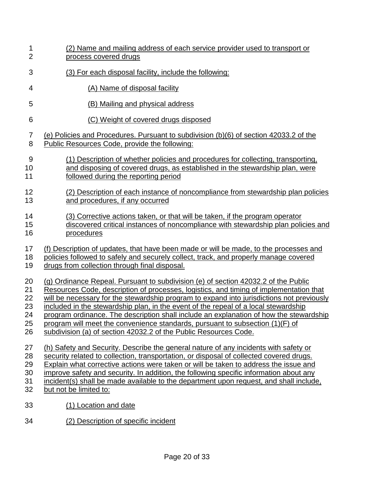| 1                | (2) Name and mailing address of each service provider used to transport or                |
|------------------|-------------------------------------------------------------------------------------------|
| $\overline{2}$   | process covered drugs                                                                     |
| 3                | (3) For each disposal facility, include the following:                                    |
| 4                | (A) Name of disposal facility                                                             |
| 5                | (B) Mailing and physical address                                                          |
| 6                | (C) Weight of covered drugs disposed                                                      |
| $\overline{7}$   | (e) Policies and Procedures. Pursuant to subdivision (b)(6) of section 42033.2 of the     |
| 8                | <b>Public Resources Code, provide the following:</b>                                      |
| $\boldsymbol{9}$ | (1) Description of whether policies and procedures for collecting, transporting,          |
| 10               | and disposing of covered drugs, as established in the stewardship plan, were              |
| 11               | followed during the reporting period                                                      |
| 12               | (2) Description of each instance of noncompliance from stewardship plan policies          |
| 13               | and procedures, if any occurred                                                           |
| 14               | (3) Corrective actions taken, or that will be taken, if the program operator              |
| 15               | discovered critical instances of noncompliance with stewardship plan policies and         |
| 16               | procedures                                                                                |
| 17               | (f) Description of updates, that have been made or will be made, to the processes and     |
| 18               | policies followed to safely and securely collect, track, and properly manage covered      |
| 19               | drugs from collection through final disposal.                                             |
| 20               | (g) Ordinance Repeal. Pursuant to subdivision (e) of section 42032.2 of the Public        |
| 21               | Resources Code, description of processes, logistics, and timing of implementation that    |
| 22               | will be necessary for the stewardship program to expand into jurisdictions not previously |
| 23               | included in the stewardship plan, in the event of the repeal of a local stewardship       |
| 24               | program ordinance. The description shall include an explanation of how the stewardship    |
| 25               | program will meet the convenience standards, pursuant to subsection (1)(F) of             |
| 26               | subdivision (a) of section 42032.2 of the Public Resources Code.                          |
| 27               | (h) Safety and Security. Describe the general nature of any incidents with safety or      |
| 28               | security related to collection, transportation, or disposal of collected covered drugs.   |
| 29               | Explain what corrective actions were taken or will be taken to address the issue and      |
| 30               | improve safety and security. In addition, the following specific information about any    |
| 31               | incident(s) shall be made available to the department upon request, and shall include,    |
| 32               | but not be limited to:                                                                    |
| 33               | (1) Location and date                                                                     |
| 34               | (2) Description of specific incident                                                      |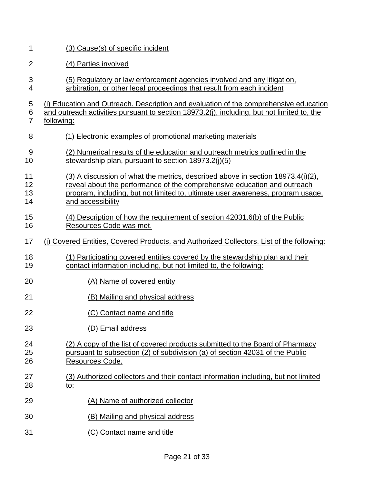| 1                            | (3) Cause(s) of specific incident                                                                                                                                                                                                                                   |
|------------------------------|---------------------------------------------------------------------------------------------------------------------------------------------------------------------------------------------------------------------------------------------------------------------|
| $\overline{2}$               | (4) Parties involved                                                                                                                                                                                                                                                |
| 3<br>4                       | (5) Regulatory or law enforcement agencies involved and any litigation,<br>arbitration, or other legal proceedings that result from each incident                                                                                                                   |
| 5<br>$\,6$<br>$\overline{7}$ | (i) Education and Outreach. Description and evaluation of the comprehensive education<br>and outreach activities pursuant to section 18973.2(j), including, but not limited to, the<br>following:                                                                   |
| 8                            | (1) Electronic examples of promotional marketing materials                                                                                                                                                                                                          |
| 9<br>10                      | (2) Numerical results of the education and outreach metrics outlined in the<br>stewardship plan, pursuant to section $18973.2(j)(5)$                                                                                                                                |
| 11<br>12<br>13<br>14         | (3) A discussion of what the metrics, described above in section 18973.4(i)(2),<br>reveal about the performance of the comprehensive education and outreach<br>program, including, but not limited to, ultimate user awareness, program usage,<br>and accessibility |
| 15<br>16                     | (4) Description of how the requirement of section 42031.6(b) of the Public<br>Resources Code was met.                                                                                                                                                               |
| 17                           | (i) Covered Entities, Covered Products, and Authorized Collectors. List of the following:                                                                                                                                                                           |
| 18<br>19                     | (1) Participating covered entities covered by the stewardship plan and their<br>contact information including, but not limited to, the following:                                                                                                                   |
| 20                           | (A) Name of covered entity                                                                                                                                                                                                                                          |
| 21                           | (B) Mailing and physical address                                                                                                                                                                                                                                    |
| 22                           | (C) Contact name and title                                                                                                                                                                                                                                          |
| 23                           | (D) Email address                                                                                                                                                                                                                                                   |
| 24<br>25<br>26               | (2) A copy of the list of covered products submitted to the Board of Pharmacy<br>pursuant to subsection (2) of subdivision (a) of section 42031 of the Public<br><u>Resources Code.</u>                                                                             |
| 27<br>28                     | (3) Authorized collectors and their contact information including, but not limited<br><u>to:</u>                                                                                                                                                                    |
| 29                           | (A) Name of authorized collector                                                                                                                                                                                                                                    |
| 30                           | (B) Mailing and physical address                                                                                                                                                                                                                                    |
| 31                           | (C) Contact name and title                                                                                                                                                                                                                                          |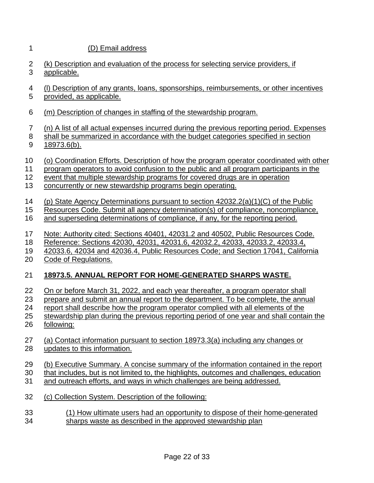### 1 (D) Email address

- 2 3 (k) Description and evaluation of the process for selecting service providers, if applicable.
- 4 (l) Description of any grants, loans, sponsorships, reimbursements, or other incentives
- 5 provided, as applicable.
- 6 (m) Description of changes in staffing of the stewardship program.
- 7 (n) A list of all actual expenses incurred during the previous reporting period. Expenses
- 8 9 shall be summarized in accordance with the budget categories specified in section 18973.6(b).
- 10 (o) Coordination Efforts. Description of how the program operator coordinated with other
- 11 program operators to avoid confusion to the public and all program participants in the
- 12 event that multiple stewardship programs for covered drugs are in operation
- 13 concurrently or new stewardship programs begin operating.
- 14 (p) State Agency Determinations pursuant to section 42032.2(a)(1)(C) of the Public
- 15 Resources Code. Submit all agency determination(s) of compliance, noncompliance,
- 16 and superseding determinations of compliance, if any, for the reporting period.
- 17 Note: Authority cited: Sections 40401, 42031.2 and 40502, Public Resources Code.
- 18 Reference: Sections 42030, 42031, 42031.6, 42032.2, 42033, 42033.2, 42033.4,
- 19 42033.6, 42034 and 42036.4, Public Resources Code; and Section 17041, California
- 20 Code of Regulations.

#### 21 **18973.5. ANNUAL REPORT FOR HOME-GENERATED SHARPS WASTE.**

- 22 On or before March 31, 2022, and each year thereafter, a program operator shall
- 23 prepare and submit an annual report to the department. To be complete, the annual
- 24 report shall describe how the program operator complied with all elements of the
- 25 26 stewardship plan during the previous reporting period of one year and shall contain the following:
- 27 28 (a) Contact information pursuant to section 18973.3(a) including any changes or updates to this information.
- 29 (b) Executive Summary. A concise summary of the information contained in the report
- 30 that includes, but is not limited to, the highlights, outcomes and challenges, education
- 31 and outreach efforts, and ways in which challenges are being addressed.
- 32 (c) Collection System. Description of the following:
- 33 34 (1) How ultimate users had an opportunity to dispose of their home-generated sharps waste as described in the approved stewardship plan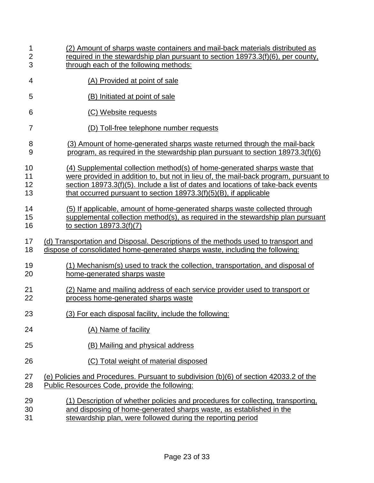| 1              | (2) Amount of sharps waste containers and mail-back materials distributed as          |
|----------------|---------------------------------------------------------------------------------------|
| $\overline{2}$ | required in the stewardship plan pursuant to section 18973.3(f)(6), per county,       |
| 3              | through each of the following methods:                                                |
| 4              | (A) Provided at point of sale                                                         |
| 5              | (B) Initiated at point of sale                                                        |
| 6              | (C) Website requests                                                                  |
| 7              | (D) Toll-free telephone number requests                                               |
| 8              | (3) Amount of home-generated sharps waste returned through the mail-back              |
| 9              | program, as required in the stewardship plan pursuant to section 18973.3(f)(6)        |
| 10             | (4) Supplemental collection method(s) of home-generated sharps waste that             |
| 11             | were provided in addition to, but not in lieu of, the mail-back program, pursuant to  |
| 12             | section 18973.3(f)(5). Include a list of dates and locations of take-back events      |
| 13             | that occurred pursuant to section 18973.3(f)(5)(B), if applicable                     |
| 14             | (5) If applicable, amount of home-generated sharps waste collected through            |
| 15             | supplemental collection method(s), as required in the stewardship plan pursuant       |
| 16             | to section 18973.3(f)(7)                                                              |
| 17             | (d) Transportation and Disposal. Descriptions of the methods used to transport and    |
| 18             | dispose of consolidated home-generated sharps waste, including the following:         |
| 19             | (1) Mechanism(s) used to track the collection, transportation, and disposal of        |
| 20             | home-generated sharps waste                                                           |
| 21             | (2) Name and mailing address of each service provider used to transport or            |
| 22             | process home-generated sharps waste                                                   |
| 23             | (3) For each disposal facility, include the following:                                |
| 24             | (A) Name of facility                                                                  |
| 25             | (B) Mailing and physical address                                                      |
| 26             | (C) Total weight of material disposed                                                 |
| 27             | (e) Policies and Procedures. Pursuant to subdivision (b)(6) of section 42033.2 of the |
| 28             | Public Resources Code, provide the following:                                         |
| 29             | (1) Description of whether policies and procedures for collecting, transporting,      |
| 30             | and disposing of home-generated sharps waste, as established in the                   |
| 31             | stewardship plan, were followed during the reporting period                           |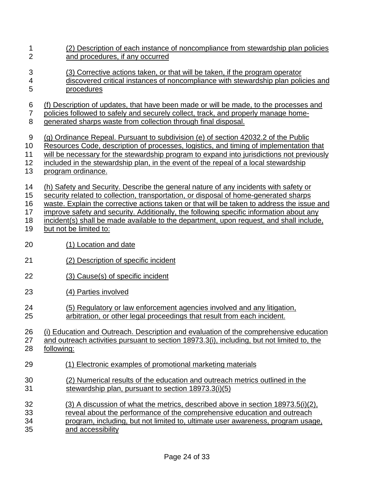- 1 (2) Description of each instance of noncompliance from stewardship plan policies  $\mathfrak{D}$ 3 and procedures, if any occurred (3) Corrective actions taken, or that will be taken, if the program operator
- 4 5 discovered critical instances of noncompliance with stewardship plan policies and procedures

6 (f) Description of updates, that have been made or will be made, to the processes and

- 7 policies followed to safely and securely collect, track, and properly manage home-
- 8 generated sharps waste from collection through final disposal.
- 9 (g) Ordinance Repeal. Pursuant to subdivision (e) of section 42032.2 of the Public
- 10 Resources Code, description of processes, logistics, and timing of implementation that
- 11 will be necessary for the stewardship program to expand into jurisdictions not previously
- 12 included in the stewardship plan, in the event of the repeal of a local stewardship
- 13 program ordinance.
- 14 (h) Safety and Security. Describe the general nature of any incidents with safety or
- 15 security related to collection, transportation, or disposal of home-generated sharps
- 16 waste. Explain the corrective actions taken or that will be taken to address the issue and
- 17 improve safety and security. Additionally, the following specific information about any
- 18 incident(s) shall be made available to the department, upon request, and shall include,
- 19 but not be limited to:
- 20 (1) Location and date
- 21 (2) Description of specific incident
- 22 (3) Cause(s) of specific incident
- 23 (4) Parties involved
- 24 25 (5) Regulatory or law enforcement agencies involved and any litigation, arbitration, or other legal proceedings that result from each incident.
- 26 (i) Education and Outreach. Description and evaluation of the comprehensive education

27 and outreach activities pursuant to section 18973.3(i), including, but not limited to, the

- 28 following:
- 29 (1) Electronic examples of promotional marketing materials
- 30 31 (2) Numerical results of the education and outreach metrics outlined in the stewardship plan, pursuant to section 18973.3(i)(5)
- 32 (3) A discussion of what the metrics, described above in section 18973.5(i)(2),
- 33 reveal about the performance of the comprehensive education and outreach
- 34 35 program, including, but not limited to, ultimate user awareness, program usage, and accessibility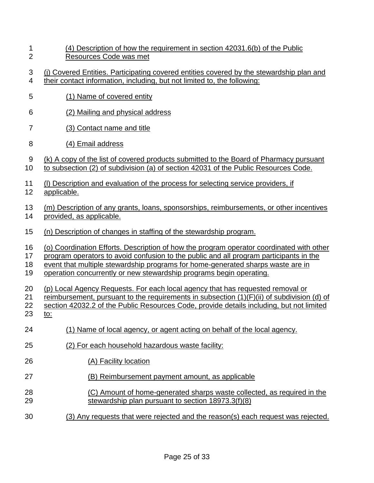| (4) Description of how the requirement in section 42031.6(b) of the Public |
|----------------------------------------------------------------------------|
| Resources Code was met                                                     |

- 3 4 (j) Covered Entities. Participating covered entities covered by the stewardship plan and their contact information, including, but not limited to, the following:
- 5 (1) Name of covered entity
- 6 (2) Mailing and physical address
- 7 (3) Contact name and title
- 8 (4) Email address
- 9 (k) A copy of the list of covered products submitted to the Board of Pharmacy pursuant
- 10 to subsection (2) of subdivision (a) of section 42031 of the Public Resources Code.
- 11 (l) Description and evaluation of the process for selecting service providers, if
- 12 applicable.
- 13 14 (m) Description of any grants, loans, sponsorships, reimbursements, or other incentives provided, as applicable.
- 15 (n) Description of changes in staffing of the stewardship program.
- 16 (o) Coordination Efforts. Description of how the program operator coordinated with other
- 17 program operators to avoid confusion to the public and all program participants in the
- 18 event that multiple stewardship programs for home-generated sharps waste are in
- 19 operation concurrently or new stewardship programs begin operating.
- 20 (p) Local Agency Requests. For each local agency that has requested removal or
- 21 reimbursement, pursuant to the requirements in subsection (1)(F)(ii) of subdivision (d) of
- 22 section 42032.2 of the Public Resources Code, provide details including, but not limited
- 23 to:
- 24 (1) Name of local agency, or agent acting on behalf of the local agency.
- 25 (2) For each household hazardous waste facility:
- 26 (A) Facility location
- 27 (B) Reimbursement payment amount, as applicable
- 28 29 (C) Amount of home-generated sharps waste collected, as required in the stewardship plan pursuant to section 18973.3(f)(8)
- 30 (3) Any requests that were rejected and the reason(s) each request was rejected.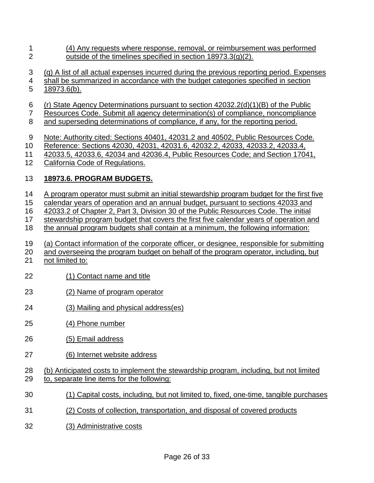- 1 (4) Any requests where response, removal, or reimbursement was performed  $\mathcal{P}$ outside of the timelines specified in section 18973.3(g)(2).
- 3 (q) A list of all actual expenses incurred during the previous reporting period. Expenses
- 4 shall be summarized in accordance with the budget categories specified in section
- 5 18973.6(b).
- 6 (r) State Agency Determinations pursuant to section 42032.2(d)(1)(B) of the Public
- 7 Resources Code. Submit all agency determination(s) of compliance, noncompliance
- 8 and superseding determinations of compliance, if any, for the reporting period.
- 9 Note: Authority cited: Sections 40401, 42031.2 and 40502, Public Resources Code.
- 10 Reference: Sections 42030, 42031, 42031.6, 42032.2, 42033, 42033.2, 42033.4,
- 11 42033.5, 42033.6, 42034 and 42036.4, Public Resources Code; and Section 17041,
- 12 California Code of Regulations.

#### 13 **18973.6. PROGRAM BUDGETS.**

- 14 A program operator must submit an initial stewardship program budget for the first five
- 15 calendar years of operation and an annual budget, pursuant to sections 42033 and
- 16 42033.2 of Chapter 2, Part 3, Division 30 of the Public Resources Code. The initial
- 17 18 stewardship program budget that covers the first five calendar years of operation and the annual program budgets shall contain at a minimum, the following information:
- 19 (a) Contact information of the corporate officer, or designee, responsible for submitting
- 20 and overseeing the program budget on behalf of the program operator, including, but
- 21 not limited to:
- 22 (1) Contact name and title
- 23 (2) Name of program operator
- 24 (3) Mailing and physical address(es)
- 25 (4) Phone number
- 26 (5) Email address
- 27 (6) Internet website address
- 28 29 (b) Anticipated costs to implement the stewardship program, including, but not limited to, separate line items for the following:
- 30 (1) Capital costs, including, but not limited to, fixed, one-time, tangible purchases
- 31 (2) Costs of collection, transportation, and disposal of covered products
- 32 (3) Administrative costs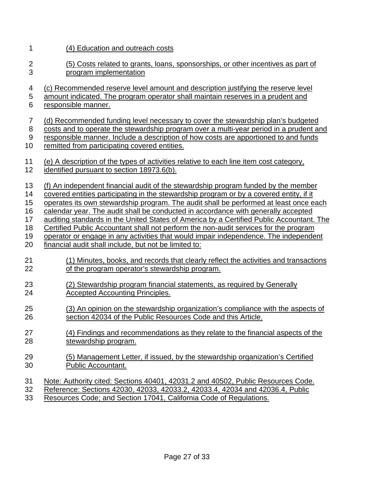1 (4) Education and outreach costs

2 3 (5) Costs related to grants, loans, sponsorships, or other incentives as part of program implementation

4 (c) Recommended reserve level amount and description justifying the reserve level

5 6 amount indicated. The program operator shall maintain reserves in a prudent and responsible manner.

- 7 (d) Recommended funding level necessary to cover the stewardship plan's budgeted
- 8 costs and to operate the stewardship program over a multi-year period in a prudent and
- 9 10 responsible manner. Include a description of how costs are apportioned to and funds remitted from participating covered entities.
- 
- 11 12 (e) A description of the types of activities relative to each line item cost category, identified pursuant to section 18973.6(b).

13 (f) An independent financial audit of the stewardship program funded by the member

- 14 covered entities participating in the stewardship program or by a covered entity, if it
- 15 operates its own stewardship program. The audit shall be performed at least once each
- 16 calendar year. The audit shall be conducted in accordance with generally accepted
- 17 auditing standards in the United States of America by a Certified Public Accountant. The
- 18 19 Certified Public Accountant shall not perform the non-audit services for the program
- 20 operator or engage in any activities that would impair independence. The independent financial audit shall include, but not be limited to:
- 21 22 (1) Minutes, books, and records that clearly reflect the activities and transactions of the program operator's stewardship program.
- 23 24 (2) Stewardship program financial statements, as required by Generally Accepted Accounting Principles.
- 25 26 (3) An opinion on the stewardship organization's compliance with the aspects of section 42034 of the Public Resources Code and this Article.
- 27 28 (4) Findings and recommendations as they relate to the financial aspects of the stewardship program.
- 29 30 (5) Management Letter, if issued, by the stewardship organization's Certified Public Accountant.
- 31 Note: Authority cited: Sections 40401, 42031.2 and 40502, Public Resources Code.
- 32 Reference: Sections 42030, 42033, 42033.2, 42033.4, 42034 and 42036.4, Public
- 33 Resources Code; and Section 17041, California Code of Regulations.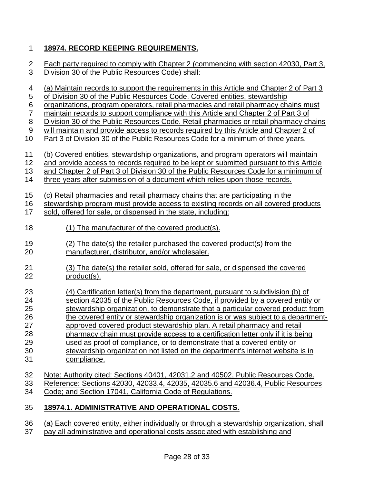### 1 **18974. RECORD KEEPING REQUIREMENTS.**

| $\overline{c}$   | Each party required to comply with Chapter 2 (commencing with section 42030, Part 3,     |
|------------------|------------------------------------------------------------------------------------------|
| 3                | Division 30 of the Public Resources Code) shall:                                         |
| 4                | (a) Maintain records to support the requirements in this Article and Chapter 2 of Part 3 |
| 5                | of Division 30 of the Public Resources Code. Covered entities, stewardship               |
| $\boldsymbol{6}$ | organizations, program operators, retail pharmacies and retail pharmacy chains must      |
| $\overline{7}$   | maintain records to support compliance with this Article and Chapter 2 of Part 3 of      |
| $\,8\,$          | Division 30 of the Public Resources Code. Retail pharmacies or retail pharmacy chains    |
| $\boldsymbol{9}$ | will maintain and provide access to records required by this Article and Chapter 2 of    |
| 10               | Part 3 of Division 30 of the Public Resources Code for a minimum of three years.         |
| 11               | (b) Covered entities, stewardship organizations, and program operators will maintain     |
| 12               | and provide access to records required to be kept or submitted pursuant to this Article  |
| 13               | and Chapter 2 of Part 3 of Division 30 of the Public Resources Code for a minimum of     |
| 14               | three years after submission of a document which relies upon those records.              |
| 15               | (c) Retail pharmacies and retail pharmacy chains that are participating in the           |
| 16               | stewardship program must provide access to existing records on all covered products      |
| 17               | sold, offered for sale, or dispensed in the state, including:                            |
| 18               | (1) The manufacturer of the covered product(s).                                          |
| 19               | (2) The date(s) the retailer purchased the covered product(s) from the                   |
| 20               | manufacturer, distributor, and/or wholesaler.                                            |
| 21               | (3) The date(s) the retailer sold, offered for sale, or dispensed the covered            |
| 22               | product(s).                                                                              |
| 23               | (4) Certification letter(s) from the department, pursuant to subdivision (b) of          |
| 24               | section 42035 of the Public Resources Code, if provided by a covered entity or           |
| 25               | stewardship organization, to demonstrate that a particular covered product from          |
| 26               | the covered entity or stewardship organization is or was subject to a department-        |
| 27               | approved covered product stewardship plan. A retail pharmacy and retail                  |
| 28               | pharmacy chain must provide access to a certification letter only if it is being         |
| 29               | used as proof of compliance, or to demonstrate that a covered entity or                  |
| 30               | stewardship organization not listed on the department's internet website is in           |
| 31               | compliance.                                                                              |
| 32               | Note: Authority cited: Sections 40401, 42031.2 and 40502, Public Resources Code.         |
| 33               | Reference: Sections 42030, 42033.4, 42035, 42035.6 and 42036.4, Public Resources         |
| 34               | Code; and Section 17041, California Code of Regulations.                                 |
| 35               | 18974.1. ADMINISTRATIVE AND OPERATIONAL COSTS.                                           |

36 37 (a) Each covered entity, either individually or through a stewardship organization, shall pay all administrative and operational costs associated with establishing and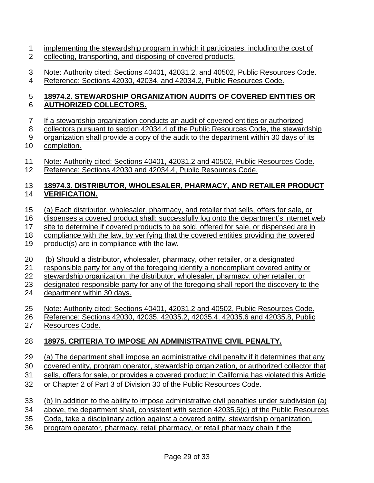- 1 implementing the stewardship program in which it participates, including the cost of 2 collecting, transporting, and disposing of covered products.
- 3 4 Note: Authority cited: Sections 40401, 42031.2, and 40502, Public Resources Code. Reference: Sections 42030, 42034, and 42034.2, Public Resources Code.

#### 5 6 **18974.2. STEWARDSHIP ORGANIZATION AUDITS OF COVERED ENTITIES OR AUTHORIZED COLLECTORS.**

- 7 If a stewardship organization conducts an audit of covered entities or authorized
- 8 collectors pursuant to section 42034.4 of the Public Resources Code, the stewardship
- 9 organization shall provide a copy of the audit to the department within 30 days of its
- 10 completion.
- 11 12 Note: Authority cited: Sections 40401, 42031.2 and 40502, Public Resources Code. Reference: Sections 42030 and 42034.4, Public Resources Code.

#### 13 14 **18974.3. DISTRIBUTOR, WHOLESALER, PHARMACY, AND RETAILER PRODUCT VERIFICATION.**

- 15 (a) Each distributor, wholesaler, pharmacy, and retailer that sells, offers for sale, or
- 16 dispenses a covered product shall: successfully log onto the department's internet web
- 17 site to determine if covered products to be sold, offered for sale, or dispensed are in
- 18 compliance with the law, by verifying that the covered entities providing the covered
- 19 product(s) are in compliance with the law.
- 20 (b) Should a distributor, wholesaler, pharmacy, other retailer, or a designated
- 21 responsible party for any of the foregoing identify a noncompliant covered entity or
- 22 stewardship organization, the distributor, wholesaler, pharmacy, other retailer, or
- 23 designated responsible party for any of the foregoing shall report the discovery to the
- 24 department within 30 days.
- 25 Note: Authority cited: Sections 40401, 42031.2 and 40502, Public Resources Code.
- 26 Reference: Sections 42030, 42035, 42035.2, 42035.4, 42035.6 and 42035.8, Public
- 27 Resources Code.

#### 28 **18975. CRITERIA TO IMPOSE AN ADMINISTRATIVE CIVIL PENALTY.**

- 29 (a) The department shall impose an administrative civil penalty if it determines that any
- 30 covered entity, program operator, stewardship organization, or authorized collector that
- 31 sells, offers for sale, or provides a covered product in California has violated this Article
- 32 or Chapter 2 of Part 3 of Division 30 of the Public Resources Code.
- 33 (b) In addition to the ability to impose administrative civil penalties under subdivision (a)
- 34 above, the department shall, consistent with section 42035.6(d) of the Public Resources
- 35 Code, take a disciplinary action against a covered entity, stewardship organization,
- 36 program operator, pharmacy, retail pharmacy, or retail pharmacy chain if the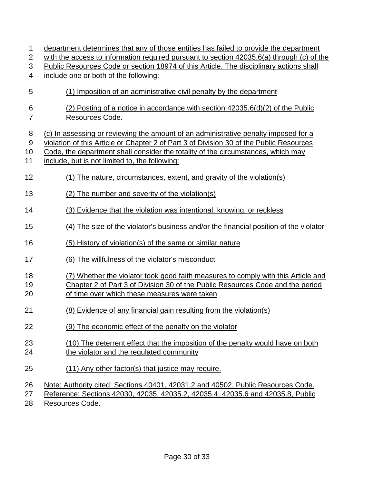| 1              | department determines that any of those entities has failed to provide the department     |
|----------------|-------------------------------------------------------------------------------------------|
| $\overline{2}$ | with the access to information required pursuant to section 42035.6(a) through (c) of the |
| 3              | Public Resources Code or section 18974 of this Article. The disciplinary actions shall    |
| 4              | include one or both of the following:                                                     |
| 5              | (1) Imposition of an administrative civil penalty by the department                       |
| 6              | (2) Posting of a notice in accordance with section 42035.6(d)(2) of the Public            |
| $\overline{7}$ | Resources Code.                                                                           |
|                |                                                                                           |
| 8              | (c) In assessing or reviewing the amount of an administrative penalty imposed for a       |
| $9\,$          | violation of this Article or Chapter 2 of Part 3 of Division 30 of the Public Resources   |
| 10             | Code, the department shall consider the totality of the circumstances, which may          |
| 11             | include, but is not limited to, the following:                                            |
|                |                                                                                           |
| 12             | (1) The nature, circumstances, extent, and gravity of the violation(s)                    |
| 13             | (2) The number and severity of the violation(s)                                           |
| 14             | (3) Evidence that the violation was intentional, knowing, or reckless                     |
| 15             | (4) The size of the violator's business and/or the financial position of the violator     |
|                |                                                                                           |
| 16             | (5) History of violation(s) of the same or similar nature                                 |
| 17             | (6) The willfulness of the violator's misconduct                                          |
| 18             | (7) Whether the violator took good faith measures to comply with this Article and         |
| 19             | Chapter 2 of Part 3 of Division 30 of the Public Resources Code and the period            |
| 20             | of time over which these measures were taken                                              |
| 21             | (8) Evidence of any financial gain resulting from the violation(s)                        |
|                |                                                                                           |
| 22             | (9) The economic effect of the penalty on the violator                                    |
| 23             | (10) The deterrent effect that the imposition of the penalty would have on both           |
| 24             | the violator and the regulated community                                                  |
|                |                                                                                           |
| 25             | (11) Any other factor(s) that justice may require.                                        |
| 26             | Note: Authority cited: Sections 40401, 42031.2 and 40502, Public Resources Code.          |
| 27             | Reference: Sections 42030, 42035, 42035.2, 42035.4, 42035.6 and 42035.8, Public           |
| 28             | Resources Code.                                                                           |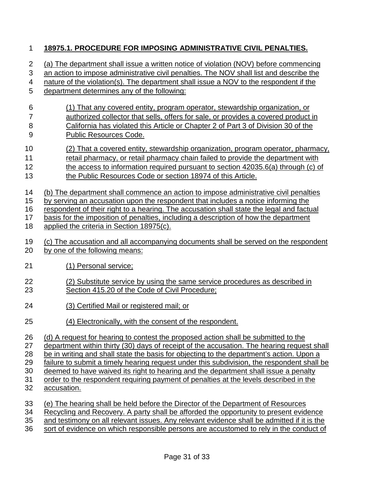### 1 **18975.1. PROCEDURE FOR IMPOSING ADMINISTRATIVE CIVIL PENALTIES.**

| $\overline{2}$            | (a) The department shall issue a written notice of violation (NOV) before commencing       |
|---------------------------|--------------------------------------------------------------------------------------------|
| $\ensuremath{\mathsf{3}}$ | an action to impose administrative civil penalties. The NOV shall list and describe the    |
| 4                         | nature of the violation(s). The department shall issue a NOV to the respondent if the      |
| 5                         | department determines any of the following:                                                |
| 6                         | (1) That any covered entity, program operator, stewardship organization, or                |
| $\overline{7}$            | authorized collector that sells, offers for sale, or provides a covered product in         |
| 8                         | California has violated this Article or Chapter 2 of Part 3 of Division 30 of the          |
| $9$                       | <b>Public Resources Code.</b>                                                              |
| 10                        | (2) That a covered entity, stewardship organization, program operator, pharmacy,           |
| 11                        | retail pharmacy, or retail pharmacy chain failed to provide the department with            |
| 12                        | the access to information required pursuant to section 42035.6(a) through (c) of           |
| 13                        | the Public Resources Code or section 18974 of this Article.                                |
| 14                        | (b) The department shall commence an action to impose administrative civil penalties       |
| 15                        | by serving an accusation upon the respondent that includes a notice informing the          |
| 16                        | respondent of their right to a hearing. The accusation shall state the legal and factual   |
| 17                        | basis for the imposition of penalties, including a description of how the department       |
| 18                        | applied the criteria in Section 18975(c).                                                  |
| 19                        | (c) The accusation and all accompanying documents shall be served on the respondent        |
| 20                        | by one of the following means:                                                             |
| 21                        | (1) Personal service;                                                                      |
| 22                        | (2) Substitute service by using the same service procedures as described in                |
| 23                        | Section 415.20 of the Code of Civil Procedure;                                             |
| 24                        | (3) Certified Mail or registered mail; or                                                  |
| 25                        | (4) Electronically, with the consent of the respondent.                                    |
| 26                        | (d) A request for hearing to contest the proposed action shall be submitted to the         |
| 27                        | department within thirty (30) days of receipt of the accusation. The hearing request shall |
| 28                        | be in writing and shall state the basis for objecting to the department's action. Upon a   |
| 29                        | failure to submit a timely hearing request under this subdivision, the respondent shall be |
| 30                        | deemed to have waived its right to hearing and the department shall issue a penalty        |
| 31                        | order to the respondent requiring payment of penalties at the levels described in the      |
| 32                        | accusation.                                                                                |
| 33                        | (e) The hearing shall be held before the Director of the Department of Resources           |
| 34                        | Recycling and Recovery. A party shall be afforded the opportunity to present evidence      |
| 35                        | and testimony on all relevant issues. Any relevant evidence shall be admitted if it is the |

36 sort of evidence on which responsible persons are accustomed to rely in the conduct of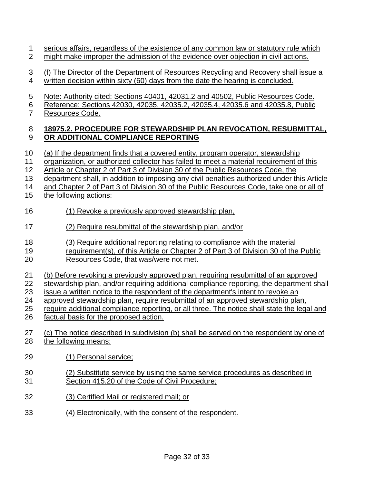- 1 serious affairs, regardless of the existence of any common law or statutory rule which 2 might make improper the admission of the evidence over objection in civil actions.
- 3 (f) The Director of the Department of Resources Recycling and Recovery shall issue a 4 written decision within sixty (60) days from the date the hearing is concluded.
- 5 Note: Authority cited: Sections 40401, 42031.2 and 40502, Public Resources Code.
- 6 Reference: Sections 42030, 42035, 42035.2, 42035.4, 42035.6 and 42035.8, Public
- 7 Resources Code.

### **18975.2. PROCEDURE FOR STEWARDSHIP PLAN REVOCATION, RESUBMITTAL, OR ADDITIONAL COMPLIANCE REPORTING**

- (a) If the department finds that a covered entity, program operator, stewardship
- organization, or authorized collector has failed to meet a material requirement of this
- Article or Chapter 2 of Part 3 of Division 30 of the Public Resources Code, the
- department shall, in addition to imposing any civil penalties authorized under this Article
- 14 and Chapter 2 of Part 3 of Division 30 of the Public Resources Code, take one or all of
- the following actions:
- (1) Revoke a previously approved stewardship plan,
- (2) Require resubmittal of the stewardship plan, and/or
- (3) Require additional reporting relating to compliance with the material
- requirement(s), of this Article or Chapter 2 of Part 3 of Division 30 of the Public
- Resources Code, that was/were not met.
- (b) Before revoking a previously approved plan, requiring resubmittal of an approved
- stewardship plan, and/or requiring additional compliance reporting, the department shall
- issue a written notice to the respondent of the department's intent to revoke an
- approved stewardship plan, require resubmittal of an approved stewardship plan,
- require additional compliance reporting, or all three. The notice shall state the legal and
- factual basis for the proposed action.
- (c) The notice described in subdivision (b) shall be served on the respondent by one of the following means:
- (1) Personal service;
- (2) Substitute service by using the same service procedures as described in Section 415.20 of the Code of Civil Procedure;
- (3) Certified Mail or registered mail; or
- (4) Electronically, with the consent of the respondent.